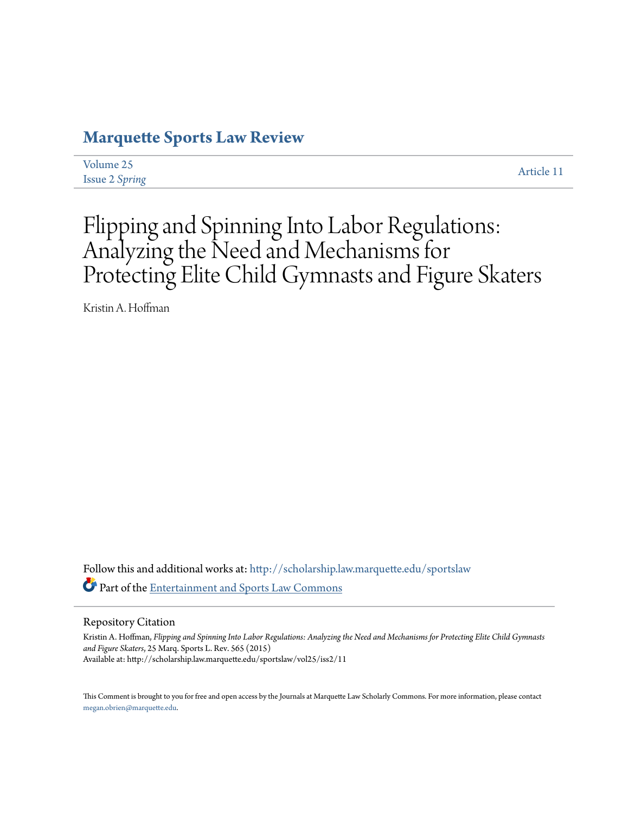# **[Marquette Sports Law Review](http://scholarship.law.marquette.edu/sportslaw?utm_source=scholarship.law.marquette.edu%2Fsportslaw%2Fvol25%2Fiss2%2F11&utm_medium=PDF&utm_campaign=PDFCoverPages)**

[Volume 25](http://scholarship.law.marquette.edu/sportslaw/vol25?utm_source=scholarship.law.marquette.edu%2Fsportslaw%2Fvol25%2Fiss2%2F11&utm_medium=PDF&utm_campaign=PDFCoverPages) [Issue 2](http://scholarship.law.marquette.edu/sportslaw/vol25/iss2?utm_source=scholarship.law.marquette.edu%2Fsportslaw%2Fvol25%2Fiss2%2F11&utm_medium=PDF&utm_campaign=PDFCoverPages) *Spring*

[Article 11](http://scholarship.law.marquette.edu/sportslaw/vol25/iss2/11?utm_source=scholarship.law.marquette.edu%2Fsportslaw%2Fvol25%2Fiss2%2F11&utm_medium=PDF&utm_campaign=PDFCoverPages)

# Flipping and Spinning Into Labor Regulations: Analyzing the Need and Mechanisms for Protecting Elite Child Gymnasts and Figure Skaters

Kristin A. Hoffman

Follow this and additional works at: [http://scholarship.law.marquette.edu/sportslaw](http://scholarship.law.marquette.edu/sportslaw?utm_source=scholarship.law.marquette.edu%2Fsportslaw%2Fvol25%2Fiss2%2F11&utm_medium=PDF&utm_campaign=PDFCoverPages) Part of the [Entertainment and Sports Law Commons](http://network.bepress.com/hgg/discipline/893?utm_source=scholarship.law.marquette.edu%2Fsportslaw%2Fvol25%2Fiss2%2F11&utm_medium=PDF&utm_campaign=PDFCoverPages)

Repository Citation

Kristin A. Hoffman, *Flipping and Spinning Into Labor Regulations: Analyzing the Need and Mechanisms for Protecting Elite Child Gymnasts and Figure Skaters*, 25 Marq. Sports L. Rev. 565 (2015) Available at: http://scholarship.law.marquette.edu/sportslaw/vol25/iss2/11

This Comment is brought to you for free and open access by the Journals at Marquette Law Scholarly Commons. For more information, please contact [megan.obrien@marquette.edu.](mailto:megan.obrien@marquette.edu)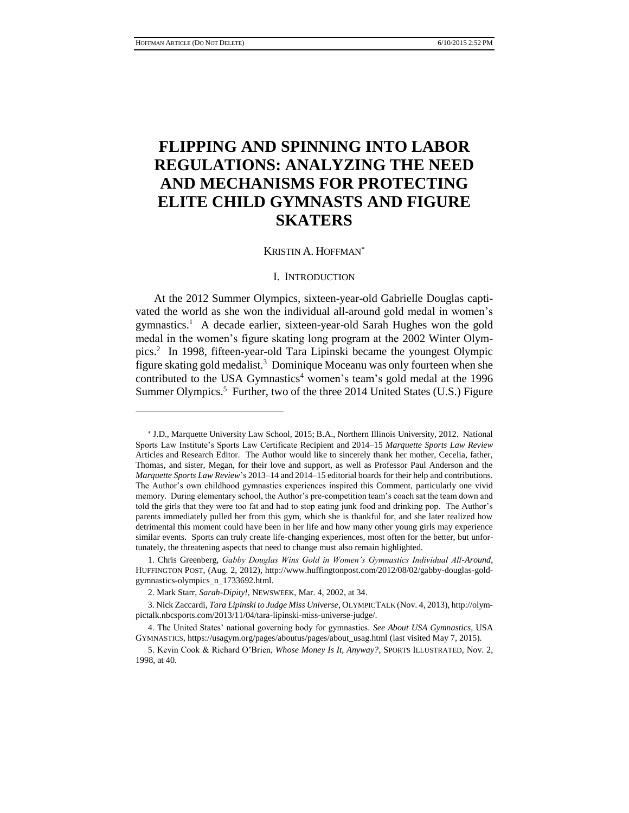# **FLIPPING AND SPINNING INTO LABOR REGULATIONS: ANALYZING THE NEED AND MECHANISMS FOR PROTECTING ELITE CHILD GYMNASTS AND FIGURE SKATERS**

#### KRISTIN A. HOFFMAN

#### I. INTRODUCTION

At the 2012 Summer Olympics, sixteen-year-old Gabrielle Douglas captivated the world as she won the individual all-around gold medal in women's gymnastics.<sup>1</sup> A decade earlier, sixteen-year-old Sarah Hughes won the gold medal in the women's figure skating long program at the 2002 Winter Olympics.<sup>2</sup> In 1998, fifteen-year-old Tara Lipinski became the youngest Olympic figure skating gold medalist.<sup>3</sup> Dominique Moceanu was only fourteen when she contributed to the USA Gymnastics<sup>4</sup> women's team's gold medal at the 1996 Summer Olympics.<sup>5</sup> Further, two of the three 2014 United States (U.S.) Figure

<sup>\*</sup> J.D., Marquette University Law School, 2015; B.A., Northern Illinois University, 2012. National Sports Law Institute's Sports Law Certificate Recipient and 2014–15 *Marquette Sports Law Review*  Articles and Research Editor. The Author would like to sincerely thank her mother, Cecelia, father, Thomas, and sister, Megan, for their love and support, as well as Professor Paul Anderson and the *Marquette Sports Law Review*'s 2013–14 and 2014–15 editorial boards for their help and contributions. The Author's own childhood gymnastics experiences inspired this Comment, particularly one vivid memory. During elementary school, the Author's pre-competition team's coach sat the team down and told the girls that they were too fat and had to stop eating junk food and drinking pop. The Author's parents immediately pulled her from this gym, which she is thankful for, and she later realized how detrimental this moment could have been in her life and how many other young girls may experience similar events. Sports can truly create life-changing experiences, most often for the better, but unfortunately, the threatening aspects that need to change must also remain highlighted.

<sup>1.</sup> Chris Greenberg, *Gabby Douglas Wins Gold in Women's Gymnastics Individual All-Around*, HUFFINGTON POST, (Aug. 2, 2012), http://www.huffingtonpost.com/2012/08/02/gabby-douglas-goldgymnastics-olympics\_n\_1733692.html.

<sup>2.</sup> Mark Starr, *Sarah-Dipity!*, NEWSWEEK, Mar. 4, 2002, at 34.

<sup>3.</sup> Nick Zaccardi, *Tara Lipinski to Judge Miss Universe*, OLYMPICTALK (Nov. 4, 2013), http://olympictalk.nbcsports.com/2013/11/04/tara-lipinski-miss-universe-judge/.

<sup>4.</sup> The United States' national governing body for gymnastics. *See About USA Gymnastics*, USA GYMNASTICS, https://usagym.org/pages/aboutus/pages/about\_usag.html (last visited May 7, 2015).

<sup>5.</sup> Kevin Cook & Richard O'Brien, *Whose Money Is It, Anyway?*, SPORTS ILLUSTRATED, Nov. 2, 1998, at 40.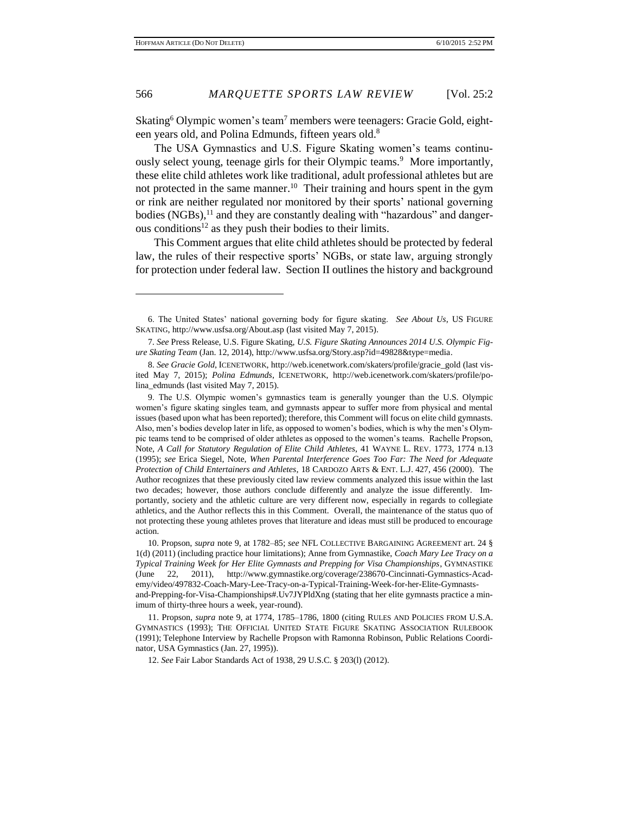Skating<sup>6</sup> Olympic women's team<sup>7</sup> members were teenagers: Gracie Gold, eighteen years old, and Polina Edmunds, fifteen years old.<sup>8</sup>

The USA Gymnastics and U.S. Figure Skating women's teams continuously select young, teenage girls for their Olympic teams.<sup>9</sup> More importantly, these elite child athletes work like traditional, adult professional athletes but are not protected in the same manner.<sup>10</sup> Their training and hours spent in the gym or rink are neither regulated nor monitored by their sports' national governing bodies (NGBs),<sup>11</sup> and they are constantly dealing with "hazardous" and dangerous conditions<sup>12</sup> as they push their bodies to their limits.

This Comment argues that elite child athletes should be protected by federal law, the rules of their respective sports' NGBs, or state law, arguing strongly for protection under federal law. Section II outlines the history and background

12. *See* Fair Labor Standards Act of 1938, 29 U.S.C. § 203(l) (2012).

<sup>6.</sup> The United States' national governing body for figure skating. *See About Us*, US FIGURE SKATING, http://www.usfsa.org/About.asp (last visited May 7, 2015).

<sup>7.</sup> *See* Press Release, U.S. Figure Skating, *U.S. Figure Skating Announces 2014 U.S. Olympic Figure Skating Team* (Jan. 12, 2014), http://www.usfsa.org/Story.asp?id=49828&type=media.

<sup>8.</sup> *See Gracie Gold*, ICENETWORK, http://web.icenetwork.com/skaters/profile/gracie\_gold (last visited May 7, 2015); *Polina Edmunds*, ICENETWORK, http://web.icenetwork.com/skaters/profile/polina\_edmunds (last visited May 7, 2015).

<sup>9.</sup> The U.S. Olympic women's gymnastics team is generally younger than the U.S. Olympic women's figure skating singles team, and gymnasts appear to suffer more from physical and mental issues (based upon what has been reported); therefore, this Comment will focus on elite child gymnasts. Also, men's bodies develop later in life, as opposed to women's bodies, which is why the men's Olympic teams tend to be comprised of older athletes as opposed to the women's teams. Rachelle Propson, Note, *A Call for Statutory Regulation of Elite Child Athletes*, 41 WAYNE L. REV. 1773, 1774 n.13 (1995); *see* Erica Siegel, Note, *When Parental Interference Goes Too Far: The Need for Adequate Protection of Child Entertainers and Athletes*, 18 CARDOZO ARTS & ENT. L.J. 427, 456 (2000). The Author recognizes that these previously cited law review comments analyzed this issue within the last two decades; however, those authors conclude differently and analyze the issue differently. Importantly, society and the athletic culture are very different now, especially in regards to collegiate athletics, and the Author reflects this in this Comment. Overall, the maintenance of the status quo of not protecting these young athletes proves that literature and ideas must still be produced to encourage action.

<sup>10.</sup> Propson, *supra* note 9, at 1782–85; *see* NFL COLLECTIVE BARGAINING AGREEMENT art. 24 § 1(d) (2011) (including practice hour limitations); Anne from Gymnastike, *Coach Mary Lee Tracy on a Typical Training Week for Her Elite Gymnasts and Prepping for Visa Championships*, GYMNASTIKE (June 22, 2011), http://www.gymnastike.org/coverage/238670-Cincinnati-Gymnastics-Academy/video/497832-Coach-Mary-Lee-Tracy-on-a-Typical-Training-Week-for-her-Elite-Gymnastsand-Prepping-for-Visa-Championships#.Uv7JYPldXng (stating that her elite gymnasts practice a minimum of thirty-three hours a week, year-round).

<sup>11.</sup> Propson, *supra* note 9, at 1774, 1785–1786, 1800 (citing RULES AND POLICIES FROM U.S.A. GYMNASTICS (1993); THE OFFICIAL UNITED STATE FIGURE SKATING ASSOCIATION RULEBOOK (1991); Telephone Interview by Rachelle Propson with Ramonna Robinson, Public Relations Coordinator, USA Gymnastics (Jan. 27, 1995)).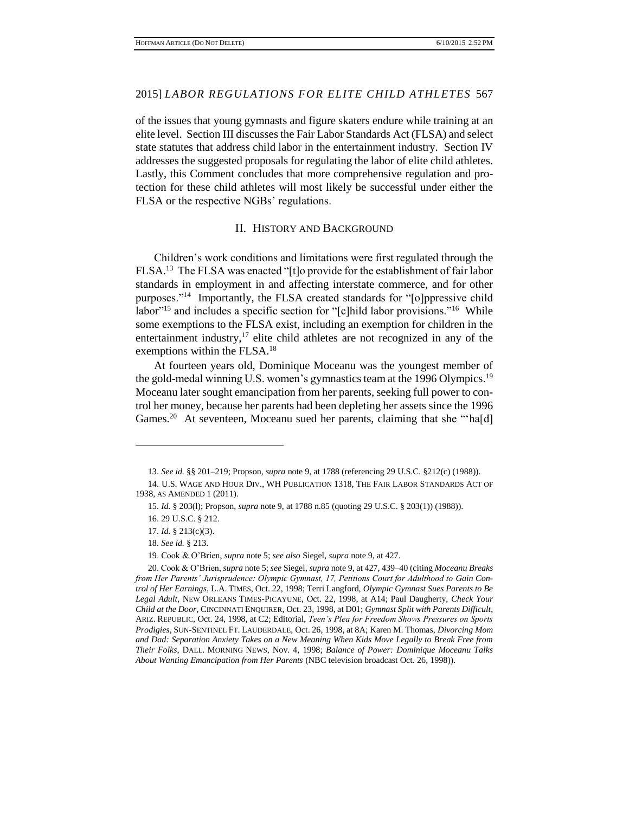of the issues that young gymnasts and figure skaters endure while training at an elite level. Section III discusses the Fair Labor Standards Act (FLSA) and select state statutes that address child labor in the entertainment industry. Section IV addresses the suggested proposals for regulating the labor of elite child athletes. Lastly, this Comment concludes that more comprehensive regulation and protection for these child athletes will most likely be successful under either the FLSA or the respective NGBs' regulations.

# II. HISTORY AND BACKGROUND

Children's work conditions and limitations were first regulated through the FLSA.<sup>13</sup> The FLSA was enacted "[t]o provide for the establishment of fair labor standards in employment in and affecting interstate commerce, and for other purposes."<sup>14</sup> Importantly, the FLSA created standards for "[o]ppressive child labor<sup>"15</sup> and includes a specific section for "[c]hild labor provisions."<sup>16</sup> While some exemptions to the FLSA exist, including an exemption for children in the entertainment industry,<sup>17</sup> elite child athletes are not recognized in any of the exemptions within the FLSA.<sup>18</sup>

At fourteen years old, Dominique Moceanu was the youngest member of the gold-medal winning U.S. women's gymnastics team at the 1996 Olympics.<sup>19</sup> Moceanu later sought emancipation from her parents, seeking full power to control her money, because her parents had been depleting her assets since the 1996 Games.<sup>20</sup> At seventeen, Moceanu sued her parents, claiming that she "ha[d]

<sup>13.</sup> *See id.* §§ 201–219; Propson, *supra* note 9, at 1788 (referencing 29 U.S.C. §212(c) (1988)).

<sup>14.</sup> U.S. WAGE AND HOUR DIV., WH PUBLICATION 1318, THE FAIR LABOR STANDARDS ACT OF 1938, AS AMENDED 1 (2011).

<sup>15.</sup> *Id.* § 203(l); Propson, *supra* note 9, at 1788 n.85 (quoting 29 U.S.C. § 203(1)) (1988)).

<sup>16. 29</sup> U.S.C. § 212.

<sup>17.</sup> *Id.* § 213(c)(3).

<sup>18.</sup> *See id.* § 213.

<sup>19.</sup> Cook & O'Brien, *supra* note 5; *see also* Siegel, *supra* note 9, at 427.

<sup>20.</sup> Cook & O'Brien, *supra* note 5; *see* Siegel, *supra* note 9, at 427, 439–40 (citing *Moceanu Breaks from Her Parents' Jurisprudence: Olympic Gymnast, 17, Petitions Court for Adulthood to Gain Control of Her Earnings*, L.A. TIMES, Oct. 22, 1998; Terri Langford, *Olympic Gymnast Sues Parents to Be Legal Adult*, NEW ORLEANS TIMES-PICAYUNE, Oct. 22, 1998, at A14; Paul Daugherty, *Check Your Child at the Door*, CINCINNATI ENQUIRER, Oct. 23, 1998, at D01; *Gymnast Split with Parents Difficult*, ARIZ. REPUBLIC, Oct. 24, 1998, at C2; Editorial, *Teen's Plea for Freedom Shows Pressures on Sports Prodigies*, SUN-SENTINEL FT. LAUDERDALE, Oct. 26, 1998, at 8A; Karen M. Thomas, *Divorcing Mom and Dad: Separation Anxiety Takes on a New Meaning When Kids Move Legally to Break Free from Their Folks*, DALL. MORNING NEWS, Nov. 4, 1998; *Balance of Power: Dominique Moceanu Talks About Wanting Emancipation from Her Parents* (NBC television broadcast Oct. 26, 1998)).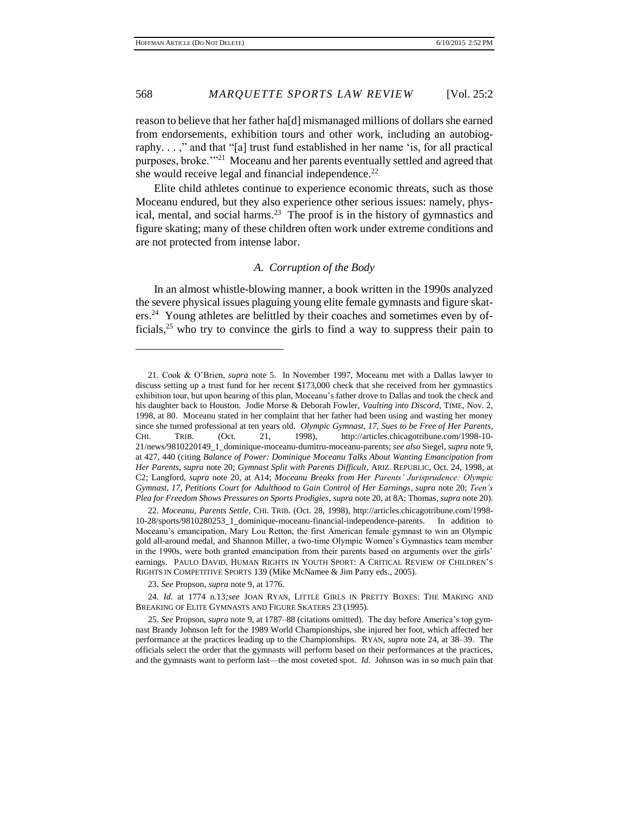reason to believe that her father ha[d] mismanaged millions of dollars she earned from endorsements, exhibition tours and other work, including an autobiography. . . ," and that "[a] trust fund established in her name 'is, for all practical purposes, broke.'"<sup>21</sup> Moceanu and her parents eventually settled and agreed that she would receive legal and financial independence.<sup>22</sup>

Elite child athletes continue to experience economic threats, such as those Moceanu endured, but they also experience other serious issues: namely, physical, mental, and social harms. $^{23}$  The proof is in the history of gymnastics and figure skating; many of these children often work under extreme conditions and are not protected from intense labor.

# *A. Corruption of the Body*

In an almost whistle-blowing manner, a book written in the 1990s analyzed the severe physical issues plaguing young elite female gymnasts and figure skaters.<sup>24</sup> Young athletes are belittled by their coaches and sometimes even by officials,  $25$  who try to convince the girls to find a way to suppress their pain to

23. *See* Propson, *supra* note 9, at 1776.

<sup>21.</sup> Cook & O'Brien, *supra* note 5. In November 1997, Moceanu met with a Dallas lawyer to discuss setting up a trust fund for her recent \$173,000 check that she received from her gymnastics exhibition tour, but upon hearing of this plan, Moceanu's father drove to Dallas and took the check and his daughter back to Houston. Jodie Morse & Deborah Fowler, *Vaulting into Discord*, TIME, Nov. 2, 1998, at 80. Moceanu stated in her complaint that her father had been using and wasting her money since she turned professional at ten years old. *Olympic Gymnast, 17, Sues to be Free of Her Parents*, CHI. TRIB. (Oct. 21, 1998), http://articles.chicagotribune.com/1998-10- 21/news/9810220149\_1\_dominique-moceanu-dumitru-moceanu-parents; *see also* Siegel, *supra* note 9, at 427, 440 (citing *Balance of Power: Dominique Moceanu Talks About Wanting Emancipation from Her Parents*, *supra* note 20; *Gymnast Split with Parents Difficult*, ARIZ. REPUBLIC, Oct. 24, 1998, at C2; Langford, *supra* note 20, at A14; *Moceanu Breaks from Her Parents' Jurisprudence: Olympic Gymnast, 17, Petitions Court for Adulthood to Gain Control of Her Earnings*, *supra* note 20; *Teen's Plea for Freedom Shows Pressures on Sports Prodigies*, *supra* note 20, at 8A; Thomas, *supra* note 20).

<sup>22.</sup> *Moceanu, Parents Settle*, CHI. TRIB. (Oct. 28, 1998), http://articles.chicagotribune.com/1998- 10-28/sports/9810280253\_1\_dominique-moceanu-financial-independence-parents. In addition to Moceanu's emancipation, Mary Lou Retton, the first American female gymnast to win an Olympic gold all-around medal, and Shannon Miller, a two-time Olympic Women's Gymnastics team member in the 1990s, were both granted emancipation from their parents based on arguments over the girls' earnings. PAULO DAVID, HUMAN RIGHTS IN YOUTH SPORT: A CRITICAL REVIEW OF CHILDREN'S RIGHTS IN COMPETITIVE SPORTS 139 (Mike McNamee & Jim Parry eds., 2005).

<sup>24.</sup> *Id.* at 1774 n.13*;see* JOAN RYAN, LITTLE GIRLS IN PRETTY BOXES: THE MAKING AND BREAKING OF ELITE GYMNASTS AND FIGURE SKATERS 23 (1995).

<sup>25.</sup> *See* Propson, *supra* note 9, at 1787–88 (citations omitted). The day before America's top gymnast Brandy Johnson left for the 1989 World Championships, she injured her foot, which affected her performance at the practices leading up to the Championships. RYAN, *supra* note 24, at 38–39. The officials select the order that the gymnasts will perform based on their performances at the practices, and the gymnasts want to perform last—the most coveted spot. *Id.* Johnson was in so much pain that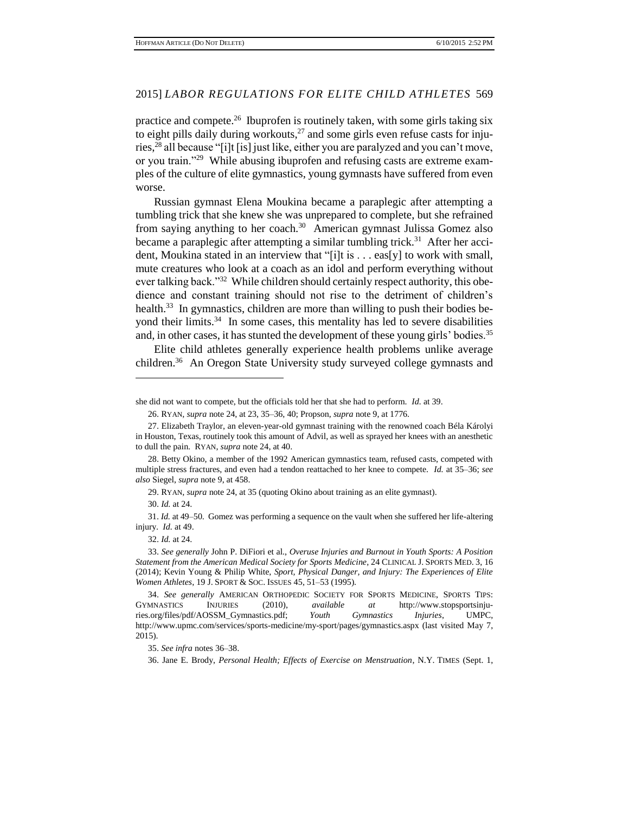practice and compete.<sup>26</sup> Ibuprofen is routinely taken, with some girls taking six to eight pills daily during workouts, $^{27}$  and some girls even refuse casts for injuries, <sup>28</sup> all because "[i]t [is] just like, either you are paralyzed and you can't move, or you train."<sup>29</sup> While abusing ibuprofen and refusing casts are extreme examples of the culture of elite gymnastics, young gymnasts have suffered from even worse.

Russian gymnast Elena Moukina became a paraplegic after attempting a tumbling trick that she knew she was unprepared to complete, but she refrained from saying anything to her coach.<sup>30</sup> American gymnast Julissa Gomez also became a paraplegic after attempting a similar tumbling trick.<sup>31</sup> After her accident, Moukina stated in an interview that "[i]t is . . . eas[y] to work with small, mute creatures who look at a coach as an idol and perform everything without ever talking back."<sup>32</sup> While children should certainly respect authority, this obedience and constant training should not rise to the detriment of children's health.<sup>33</sup> In gymnastics, children are more than willing to push their bodies beyond their limits.<sup>34</sup> In some cases, this mentality has led to severe disabilities and, in other cases, it has stunted the development of these young girls' bodies.<sup>35</sup>

Elite child athletes generally experience health problems unlike average children.<sup>36</sup> An Oregon State University study surveyed college gymnasts and

29. RYAN, *supra* note 24, at 35 (quoting Okino about training as an elite gymnast).

30. *Id.* at 24.

 $\overline{a}$ 

31. *Id.* at 49–50. Gomez was performing a sequence on the vault when she suffered her life-altering injury. *Id.* at 49.

32. *Id.* at 24.

35. *See infra* notes 36–38.

36. Jane E. Brody, *Personal Health; Effects of Exercise on Menstruation*, N.Y. TIMES (Sept. 1,

she did not want to compete, but the officials told her that she had to perform. *Id.* at 39.

<sup>26.</sup> RYAN, *supra* note 24, at 23, 35–36, 40; Propson, *supra* note 9, at 1776.

<sup>27.</sup> Elizabeth Traylor, an eleven-year-old gymnast training with the renowned coach Béla Károlyi in Houston, Texas, routinely took this amount of Advil, as well as sprayed her knees with an anesthetic to dull the pain. RYAN, *supra* note 24, at 40.

<sup>28.</sup> Betty Okino, a member of the 1992 American gymnastics team, refused casts, competed with multiple stress fractures, and even had a tendon reattached to her knee to compete. *Id.* at 35–36; *see also* Siegel, *supra* note 9, at 458.

<sup>33.</sup> *See generally* John P. DiFiori et al., *Overuse Injuries and Burnout in Youth Sports: A Position Statement from the American Medical Society for Sports Medicine*, 24 CLINICAL J. SPORTS MED. 3, 16 (2014); Kevin Young & Philip White, *Sport, Physical Danger, and Injury: The Experiences of Elite Women Athletes*, 19 J. SPORT & SOC. ISSUES 45, 51–53 (1995).

<sup>34.</sup> *See generally* AMERICAN ORTHOPEDIC SOCIETY FOR SPORTS MEDICINE, SPORTS TIPS: GYMNASTICS INJURIES (2010), *available at* http://www.stopsportsinjuries.org/files/pdf/AOSSM\_Gymnastics.pdf; *Youth Gymnastics Injuries*, UMPC, http://www.upmc.com/services/sports-medicine/my-sport/pages/gymnastics.aspx (last visited May 7, 2015).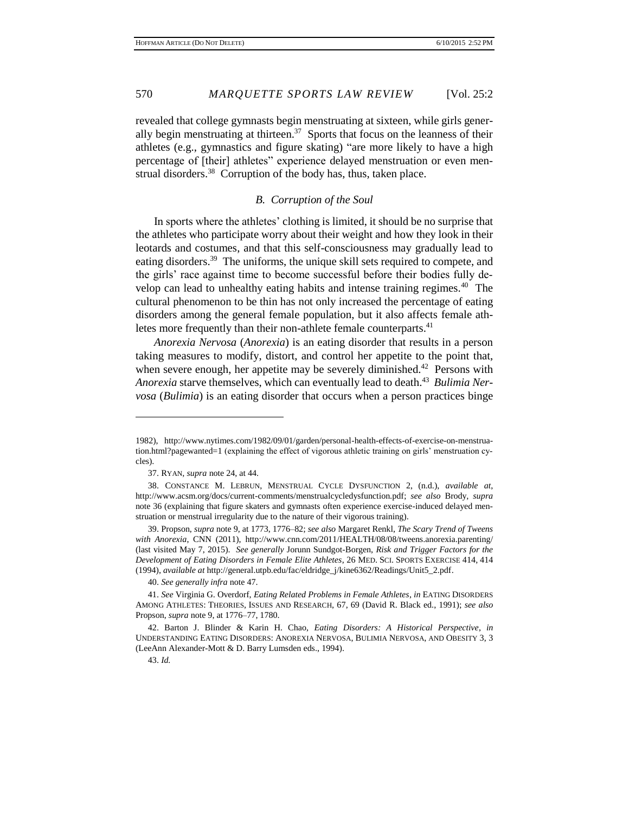revealed that college gymnasts begin menstruating at sixteen, while girls generally begin menstruating at thirteen.<sup>37</sup> Sports that focus on the leanness of their athletes (e.g., gymnastics and figure skating) "are more likely to have a high percentage of [their] athletes" experience delayed menstruation or even menstrual disorders.<sup>38</sup> Corruption of the body has, thus, taken place.

# *B. Corruption of the Soul*

In sports where the athletes' clothing is limited, it should be no surprise that the athletes who participate worry about their weight and how they look in their leotards and costumes, and that this self-consciousness may gradually lead to eating disorders.<sup>39</sup> The uniforms, the unique skill sets required to compete, and the girls' race against time to become successful before their bodies fully develop can lead to unhealthy eating habits and intense training regimes.<sup>40</sup> The cultural phenomenon to be thin has not only increased the percentage of eating disorders among the general female population, but it also affects female athletes more frequently than their non-athlete female counterparts.<sup>41</sup>

*Anorexia Nervosa* (*Anorexia*) is an eating disorder that results in a person taking measures to modify, distort, and control her appetite to the point that, when severe enough, her appetite may be severely diminished.<sup>42</sup> Persons with Anorexia starve themselves, which can eventually lead to death.<sup>43</sup> Bulimia Ner*vosa* (*Bulimia*) is an eating disorder that occurs when a person practices binge

40. *See generally infra* note 47.

<sup>1982),</sup> http://www.nytimes.com/1982/09/01/garden/personal-health-effects-of-exercise-on-menstruation.html?pagewanted=1 (explaining the effect of vigorous athletic training on girls' menstruation cycles).

<sup>37.</sup> RYAN, *supra* note 24, at 44.

<sup>38.</sup> CONSTANCE M. LEBRUN, MENSTRUAL CYCLE DYSFUNCTION 2, (n.d.), *available at*, http://www.acsm.org/docs/current-comments/menstrualcycledysfunction.pdf; *see also* Brody, *supra*  note 36 (explaining that figure skaters and gymnasts often experience exercise-induced delayed menstruation or menstrual irregularity due to the nature of their vigorous training).

<sup>39.</sup> Propson, *supra* note 9, at 1773, 1776–82; *see also* Margaret Renkl, *The Scary Trend of Tweens with Anorexia*, CNN (2011), http://www.cnn.com/2011/HEALTH/08/08/tweens.anorexia.parenting/ (last visited May 7, 2015). *See generally* Jorunn Sundgot-Borgen, *Risk and Trigger Factors for the Development of Eating Disorders in Female Elite Athletes*, 26 MED. SCI. SPORTS EXERCISE 414, 414 (1994), *available at* http://general.utpb.edu/fac/eldridge\_j/kine6362/Readings/Unit5\_2.pdf.

<sup>41.</sup> *See* Virginia G. Overdorf, *Eating Related Problems in Female Athletes*, *in* EATING DISORDERS AMONG ATHLETES: THEORIES, ISSUES AND RESEARCH, 67, 69 (David R. Black ed., 1991); *see also* Propson, *supra* note 9, at 1776–77, 1780.

<sup>42.</sup> Barton J. Blinder & Karin H. Chao, *Eating Disorders: A Historical Perspective*, *in*  UNDERSTANDING EATING DISORDERS: ANOREXIA NERVOSA, BULIMIA NERVOSA, AND OBESITY 3, 3 (LeeAnn Alexander-Mott & D. Barry Lumsden eds., 1994).

<sup>43.</sup> *Id.*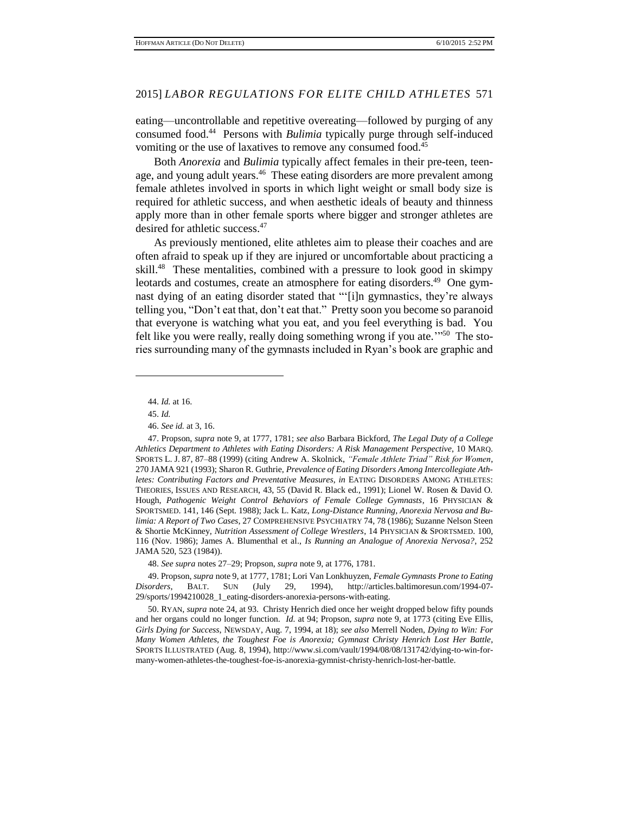eating—uncontrollable and repetitive overeating—followed by purging of any consumed food.<sup>44</sup> Persons with *Bulimia* typically purge through self-induced vomiting or the use of laxatives to remove any consumed food.<sup>45</sup>

Both *Anorexia* and *Bulimia* typically affect females in their pre-teen, teenage, and young adult years.<sup>46</sup> These eating disorders are more prevalent among female athletes involved in sports in which light weight or small body size is required for athletic success, and when aesthetic ideals of beauty and thinness apply more than in other female sports where bigger and stronger athletes are desired for athletic success. 47

As previously mentioned, elite athletes aim to please their coaches and are often afraid to speak up if they are injured or uncomfortable about practicing a skill.<sup>48</sup> These mentalities, combined with a pressure to look good in skimpy leotards and costumes, create an atmosphere for eating disorders.<sup>49</sup> One gymnast dying of an eating disorder stated that "'[i]n gymnastics, they're always telling you, "Don't eat that, don't eat that." Pretty soon you become so paranoid that everyone is watching what you eat, and you feel everything is bad. You felt like you were really, really doing something wrong if you ate."<sup>50</sup> The stories surrounding many of the gymnasts included in Ryan's book are graphic and

 $\overline{a}$ 

48. *See supra* notes 27–29; Propson, *supra* note 9, at 1776, 1781.

49. Propson, *supra* note 9, at 1777, 1781; Lori Van Lonkhuyzen, *Female Gymnasts Prone to Eating Disorders*, BALT. SUN (July 29, 1994), http://articles.baltimoresun.com/1994-07- 29/sports/1994210028\_1\_eating-disorders-anorexia-persons-with-eating.

<sup>44.</sup> *Id.* at 16.

<sup>45.</sup> *Id.*

<sup>46.</sup> *See id.* at 3, 16.

<sup>47.</sup> Propson, *supra* note 9, at 1777, 1781; *see also* Barbara Bickford, *The Legal Duty of a College Athletics Department to Athletes with Eating Disorders: A Risk Management Perspective*, 10 MARQ. SPORTS L. J. 87, 87–88 (1999) (citing Andrew A. Skolnick, *"Female Athlete Triad" Risk for Women*, 270 JAMA 921 (1993); Sharon R. Guthrie, *Prevalence of Eating Disorders Among Intercollegiate Athletes: Contributing Factors and Preventative Measures*, *in* EATING DISORDERS AMONG ATHLETES: THEORIES, ISSUES AND RESEARCH, 43, 55 (David R. Black ed., 1991); Lionel W. Rosen & David O. Hough, *Pathogenic Weight Control Behaviors of Female College Gymnasts*, 16 PHYSICIAN & SPORTSMED. 141, 146 (Sept. 1988); Jack L. Katz, *Long-Distance Running, Anorexia Nervosa and Bulimia: A Report of Two Cases*, 27 COMPREHENSIVE PSYCHIATRY 74, 78 (1986); Suzanne Nelson Steen & Shortie McKinney, *Nutrition Assessment of College Wrestlers*, 14 PHYSICIAN & SPORTSMED. 100, 116 (Nov. 1986); James A. Blumenthal et al., *Is Running an Analogue of Anorexia Nervosa?*, 252 JAMA 520, 523 (1984)).

<sup>50.</sup> RYAN, *supra* note 24, at 93. Christy Henrich died once her weight dropped below fifty pounds and her organs could no longer function. *Id.* at 94; Propson, *supra* note 9, at 1773 (citing Eve Ellis, *Girls Dying for Success*, NEWSDAY, Aug. 7, 1994, at 18); *see also* Merrell Noden, *Dying to Win: For Many Women Athletes, the Toughest Foe is Anorexia; Gymnast Christy Henrich Lost Her Battle*, SPORTS ILLUSTRATED (Aug. 8, 1994), http://www.si.com/vault/1994/08/08/131742/dying-to-win-formany-women-athletes-the-toughest-foe-is-anorexia-gymnist-christy-henrich-lost-her-battle.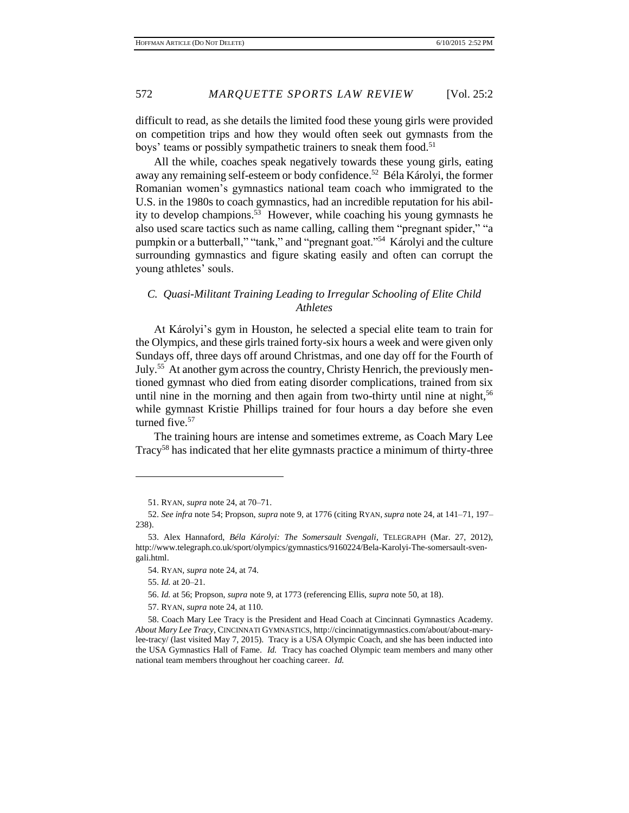difficult to read, as she details the limited food these young girls were provided on competition trips and how they would often seek out gymnasts from the boys' teams or possibly sympathetic trainers to sneak them food.<sup>51</sup>

All the while, coaches speak negatively towards these young girls, eating away any remaining self-esteem or body confidence.<sup>52</sup> Béla Károlyi, the former Romanian women's gymnastics national team coach who immigrated to the U.S. in the 1980s to coach gymnastics, had an incredible reputation for his ability to develop champions. 53 However, while coaching his young gymnasts he also used scare tactics such as name calling, calling them "pregnant spider," "a pumpkin or a butterball," "tank," and "pregnant goat."<sup>54</sup> Károlyi and the culture surrounding gymnastics and figure skating easily and often can corrupt the young athletes' souls.

# *C. Quasi-Militant Training Leading to Irregular Schooling of Elite Child Athletes*

At Károlyi's gym in Houston, he selected a special elite team to train for the Olympics, and these girls trained forty-six hours a week and were given only Sundays off, three days off around Christmas, and one day off for the Fourth of July.<sup>55</sup> At another gym across the country, Christy Henrich, the previously mentioned gymnast who died from eating disorder complications, trained from six until nine in the morning and then again from two-thirty until nine at night,<sup>56</sup> while gymnast Kristie Phillips trained for four hours a day before she even turned five. 57

The training hours are intense and sometimes extreme, as Coach Mary Lee Tracy<sup>58</sup> has indicated that her elite gymnasts practice a minimum of thirty-three

<sup>51.</sup> RYAN, *supra* note 24, at 70–71.

<sup>52.</sup> *See infra* note 54; Propson, *supra* note 9, at 1776 (citing RYAN, *supra* note 24, at 141–71, 197– 238).

<sup>53.</sup> Alex Hannaford, *Béla Károlyi: The Somersault Svengali*, TELEGRAPH (Mar. 27, 2012), http://www.telegraph.co.uk/sport/olympics/gymnastics/9160224/Bela-Karolyi-The-somersault-svengali.html.

<sup>54.</sup> RYAN, *supra* note 24, at 74.

<sup>55.</sup> *Id.* at 20–21.

<sup>56.</sup> *Id.* at 56; Propson, *supra* note 9, at 1773 (referencing Ellis, *supra* note 50, at 18).

<sup>57.</sup> RYAN, *supra* note 24, at 110.

<sup>58.</sup> Coach Mary Lee Tracy is the President and Head Coach at Cincinnati Gymnastics Academy. *About Mary Lee Tracy*, CINCINNATI GYMNASTICS, http://cincinnatigymnastics.com/about/about-marylee-tracy/ (last visited May 7, 2015). Tracy is a USA Olympic Coach, and she has been inducted into the USA Gymnastics Hall of Fame. *Id.* Tracy has coached Olympic team members and many other national team members throughout her coaching career. *Id.*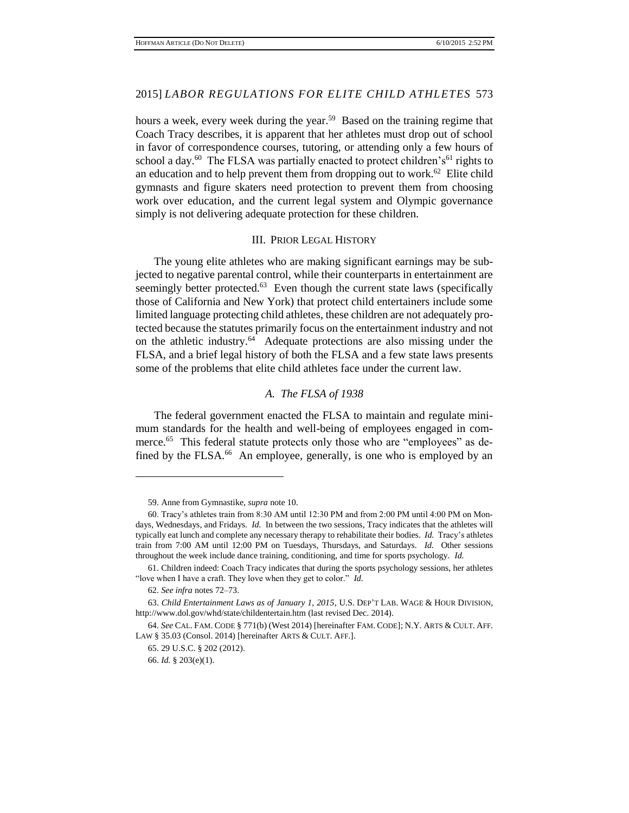hours a week, every week during the year.<sup>59</sup> Based on the training regime that Coach Tracy describes, it is apparent that her athletes must drop out of school in favor of correspondence courses, tutoring, or attending only a few hours of school a day.<sup>60</sup> The FLSA was partially enacted to protect children's<sup>61</sup> rights to an education and to help prevent them from dropping out to work.<sup>62</sup> Elite child gymnasts and figure skaters need protection to prevent them from choosing work over education, and the current legal system and Olympic governance simply is not delivering adequate protection for these children.

#### III. PRIOR LEGAL HISTORY

The young elite athletes who are making significant earnings may be subjected to negative parental control, while their counterparts in entertainment are seemingly better protected. $63$  Even though the current state laws (specifically those of California and New York) that protect child entertainers include some limited language protecting child athletes, these children are not adequately protected because the statutes primarily focus on the entertainment industry and not on the athletic industry.<sup>64</sup> Adequate protections are also missing under the FLSA, and a brief legal history of both the FLSA and a few state laws presents some of the problems that elite child athletes face under the current law.

#### *A. The FLSA of 1938*

The federal government enacted the FLSA to maintain and regulate minimum standards for the health and well-being of employees engaged in commerce.<sup>65</sup> This federal statute protects only those who are "employees" as defined by the FLSA.<sup>66</sup> An employee, generally, is one who is employed by an

<sup>59.</sup> Anne from Gymnastike, *supra* note 10.

<sup>60.</sup> Tracy's athletes train from 8:30 AM until 12:30 PM and from 2:00 PM until 4:00 PM on Mondays, Wednesdays, and Fridays. *Id.* In between the two sessions, Tracy indicates that the athletes will typically eat lunch and complete any necessary therapy to rehabilitate their bodies. *Id.* Tracy's athletes train from 7:00 AM until 12:00 PM on Tuesdays, Thursdays, and Saturdays. *Id.* Other sessions throughout the week include dance training, conditioning, and time for sports psychology. *Id.*

<sup>61.</sup> Children indeed: Coach Tracy indicates that during the sports psychology sessions, her athletes "love when I have a craft. They love when they get to color." *Id.*

<sup>62.</sup> *See infra* notes 72–73.

<sup>63.</sup> *Child Entertainment Laws as of January 1, 2015*, U.S. DEP'T LAB. WAGE & HOUR DIVISION, http://www.dol.gov/whd/state/childentertain.htm (last revised Dec. 2014).

<sup>64.</sup> *See* CAL. FAM. CODE § 771(b) (West 2014) [hereinafter FAM. CODE]; N.Y. ARTS & CULT. AFF. LAW § 35.03 (Consol. 2014) [hereinafter ARTS & CULT. AFF.].

<sup>65. 29</sup> U.S.C. § 202 (2012).

<sup>66.</sup> *Id.* § 203(e)(1).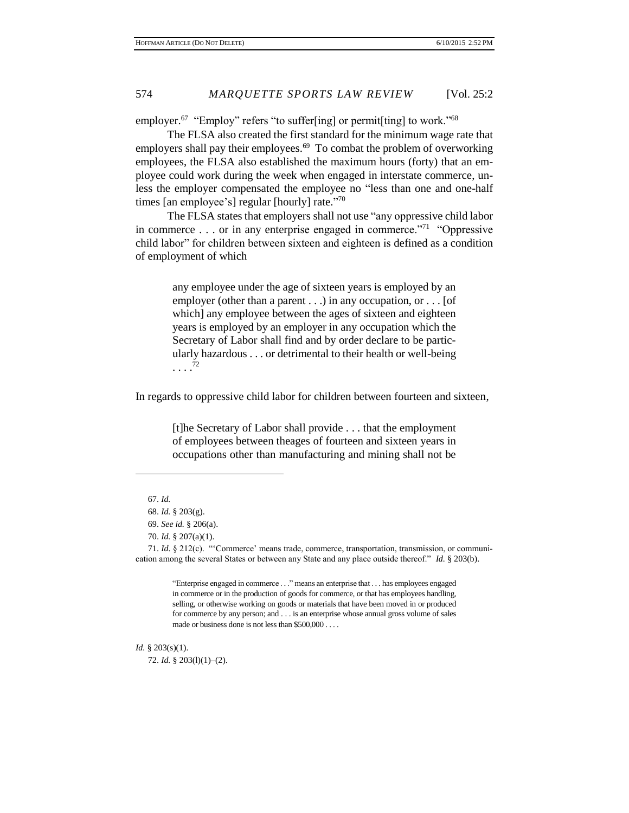employer.<sup>67</sup> "Employ" refers "to suffer[ing] or permit[ting] to work."<sup>68</sup>

The FLSA also created the first standard for the minimum wage rate that employers shall pay their employees.<sup>69</sup> To combat the problem of overworking employees, the FLSA also established the maximum hours (forty) that an employee could work during the week when engaged in interstate commerce, unless the employer compensated the employee no "less than one and one-half times [an employee's] regular [hourly] rate."<sup>70</sup>

The FLSA states that employers shall not use "any oppressive child labor in commerce  $\dots$  or in any enterprise engaged in commerce.<sup>"71</sup> "Oppressive" child labor" for children between sixteen and eighteen is defined as a condition of employment of which

> any employee under the age of sixteen years is employed by an employer (other than a parent . . .) in any occupation, or . . . [of which] any employee between the ages of sixteen and eighteen years is employed by an employer in any occupation which the Secretary of Labor shall find and by order declare to be particularly hazardous . . . or detrimental to their health or well-being . . . . 72

In regards to oppressive child labor for children between fourteen and sixteen,

[t]he Secretary of Labor shall provide . . . that the employment of employees between theages of fourteen and sixteen years in occupations other than manufacturing and mining shall not be

 $\overline{a}$ 

71. *Id.* § 212(c). "'Commerce' means trade, commerce, transportation, transmission, or communication among the several States or between any State and any place outside thereof." *Id.* § 203(b).

> "Enterprise engaged in commerce . . ." means an enterprise that . . . has employees engaged in commerce or in the production of goods for commerce, or that has employees handling, selling, or otherwise working on goods or materials that have been moved in or produced for commerce by any person; and . . . is an enterprise whose annual gross volume of sales made or business done is not less than \$500,000 . . . .

*Id.* § 203(s)(1).

72. *Id.* § 203(l)(1)–(2).

<sup>67.</sup> *Id.*

<sup>68.</sup> *Id.* § 203(g).

<sup>69.</sup> *See id.* § 206(a).

<sup>70.</sup> *Id.* § 207(a)(1).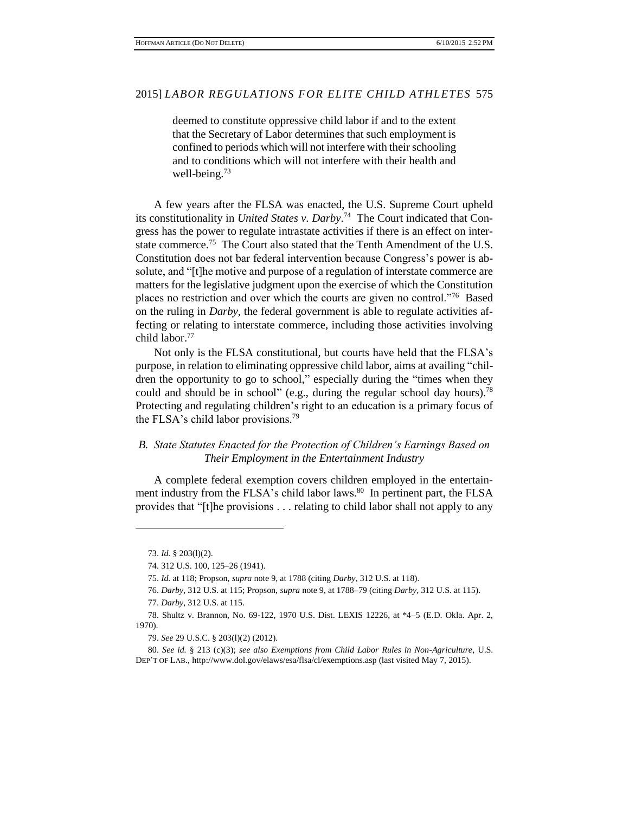deemed to constitute oppressive child labor if and to the extent that the Secretary of Labor determines that such employment is confined to periods which will not interfere with their schooling and to conditions which will not interfere with their health and well-being. $73$ 

A few years after the FLSA was enacted, the U.S. Supreme Court upheld its constitutionality in *United States v. Darby*. 74 The Court indicated that Congress has the power to regulate intrastate activities if there is an effect on interstate commerce.<sup>75</sup> The Court also stated that the Tenth Amendment of the U.S. Constitution does not bar federal intervention because Congress's power is absolute, and "[t]he motive and purpose of a regulation of interstate commerce are matters for the legislative judgment upon the exercise of which the Constitution places no restriction and over which the courts are given no control."<sup>76</sup> Based on the ruling in *Darby*, the federal government is able to regulate activities affecting or relating to interstate commerce, including those activities involving child labor.<sup>77</sup>

Not only is the FLSA constitutional, but courts have held that the FLSA's purpose, in relation to eliminating oppressive child labor, aims at availing "children the opportunity to go to school," especially during the "times when they could and should be in school" (e.g., during the regular school day hours).<sup>78</sup> Protecting and regulating children's right to an education is a primary focus of the FLSA's child labor provisions.<sup>79</sup>

# *B. State Statutes Enacted for the Protection of Children's Earnings Based on Their Employment in the Entertainment Industry*

A complete federal exemption covers children employed in the entertainment industry from the FLSA's child labor laws.<sup>80</sup> In pertinent part, the FLSA provides that "[t]he provisions . . . relating to child labor shall not apply to any

<sup>73.</sup> *Id.* § 203(l)(2).

<sup>74.</sup> 312 U.S. 100, 125–26 (1941).

<sup>75.</sup> *Id.* at 118; Propson, *supra* note 9, at 1788 (citing *Darby*, 312 U.S. at 118).

<sup>76.</sup> *Darby*, 312 U.S. at 115; Propson, *supra* note 9, at 1788–79 (citing *Darby,* 312 U.S. at 115).

<sup>77.</sup> *Darby*, 312 U.S. at 115.

<sup>78.</sup> Shultz v. Brannon, No. 69-122, 1970 U.S. Dist. LEXIS 12226, at \*4–5 (E.D. Okla. Apr. 2, 1970).

<sup>79.</sup> *See* 29 U.S.C. § 203(l)(2) (2012).

<sup>80.</sup> *See id.* § 213 (c)(3); *see also Exemptions from Child Labor Rules in Non-Agriculture*, U.S. DEP'T OF LAB., http://www.dol.gov/elaws/esa/flsa/cl/exemptions.asp (last visited May 7, 2015).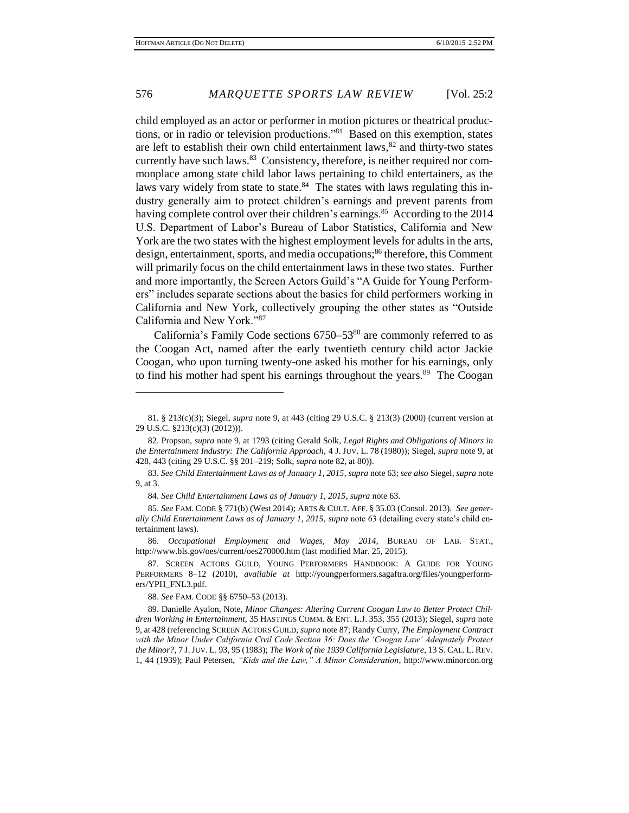child employed as an actor or performer in motion pictures or theatrical productions, or in radio or television productions."<sup>81</sup> Based on this exemption, states are left to establish their own child entertainment laws, $82$  and thirty-two states currently have such laws.<sup>83</sup> Consistency, therefore, is neither required nor commonplace among state child labor laws pertaining to child entertainers, as the laws vary widely from state to state.<sup>84</sup> The states with laws regulating this industry generally aim to protect children's earnings and prevent parents from having complete control over their children's earnings.<sup>85</sup> According to the 2014 U.S. Department of Labor's Bureau of Labor Statistics, California and New York are the two states with the highest employment levels for adults in the arts, design, entertainment, sports, and media occupations;<sup>86</sup> therefore, this Comment will primarily focus on the child entertainment laws in these two states. Further and more importantly, the Screen Actors Guild's "A Guide for Young Performers" includes separate sections about the basics for child performers working in California and New York, collectively grouping the other states as "Outside California and New York."<sup>87</sup>

California's Family Code sections 6750–53<sup>88</sup> are commonly referred to as the Coogan Act, named after the early twentieth century child actor Jackie Coogan, who upon turning twenty-one asked his mother for his earnings, only to find his mother had spent his earnings throughout the years.<sup>89</sup> The Coogan

88. *See* FAM. CODE §§ 6750–53 (2013).

89. Danielle Ayalon, Note, *Minor Changes: Altering Current Coogan Law to Better Protect Children Working in Entertainment*, 35 HASTINGS COMM. & ENT. L.J. 353, 355 (2013); Siegel, *supra* note 9, at 428 (referencing SCREEN ACTORS GUILD, *supra* note 87; Randy Curry, *The Employment Contract with the Minor Under California Civil Code Section 36: Does the 'Coogan Law' Adequately Protect the Minor?*, 7 J.JUV. L. 93, 95 (1983); *The Work of the 1939 California Legislature*, 13 S. CAL. L. REV. 1, 44 (1939); Paul Petersen, *"Kids and the Law," A Minor Consideration*, http://www.minorcon.org

<sup>81.</sup> § 213(c)(3); Siegel, *supra* note 9, at 443 (citing 29 U.S.C. § 213(3) (2000) (current version at 29 U.S.C. §213(c)(3) (2012))).

<sup>82.</sup> Propson, *supra* note 9, at 1793 (citing Gerald Solk, *Legal Rights and Obligations of Minors in the Entertainment Industry: The California Approach,* 4 J. JUV. L. 78 (1980)); Siegel, *supra* note 9, at 428, 443 (citing 29 U.S.C. §§ 201–219; Solk, *supra* note 82, at 80)).

<sup>83.</sup> *See Child Entertainment Laws as of January 1, 2015*, *supra* note 63; *see also* Siegel, *supra* note 9, at 3.

<sup>84.</sup> *See Child Entertainment Laws as of January 1, 2015*, *supra* note 63.

<sup>85.</sup> *See* FAM. CODE § 771(b) (West 2014); ARTS & CULT. AFF. § 35.03 (Consol. 2013). *See generally Child Entertainment Laws as of January 1, 2015*, *supra* note 63 (detailing every state's child entertainment laws).

<sup>86.</sup> *Occupational Employment and Wages, May 2014*, BUREAU OF LAB. STAT., http://www.bls.gov/oes/current/oes270000.htm (last modified Mar. 25, 2015).

<sup>87.</sup> SCREEN ACTORS GUILD, YOUNG PERFORMERS HANDBOOK: A GUIDE FOR YOUNG PERFORMERS 8–12 (2010), *available at* http://youngperformers.sagaftra.org/files/youngperformers/YPH\_FNL3.pdf.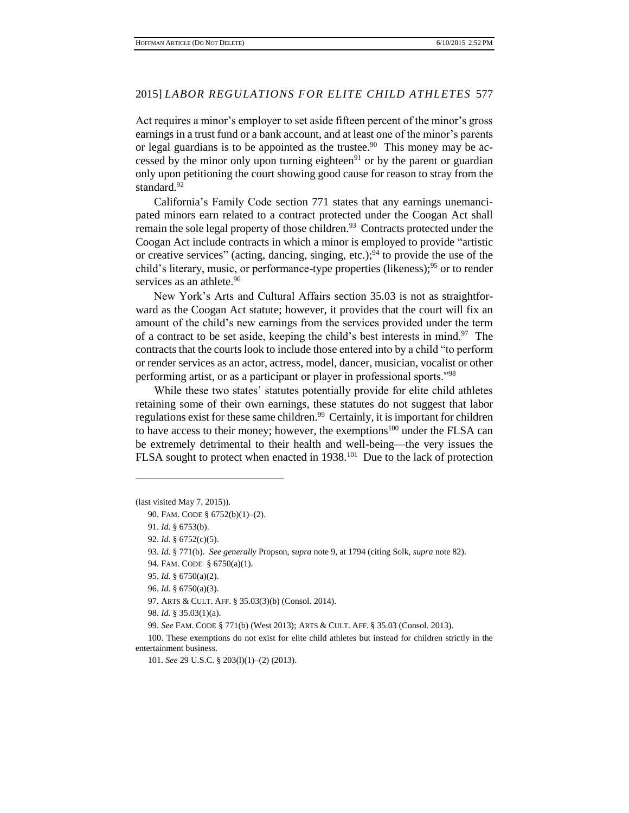Act requires a minor's employer to set aside fifteen percent of the minor's gross earnings in a trust fund or a bank account, and at least one of the minor's parents or legal guardians is to be appointed as the trustee.<sup>90</sup> This money may be accessed by the minor only upon turning eighteen $91$  or by the parent or guardian only upon petitioning the court showing good cause for reason to stray from the standard.<sup>92</sup>

California's Family Code section 771 states that any earnings unemancipated minors earn related to a contract protected under the Coogan Act shall remain the sole legal property of those children.<sup>93</sup> Contracts protected under the Coogan Act include contracts in which a minor is employed to provide "artistic or creative services" (acting, dancing, singing, etc.);  $94$  to provide the use of the child's literary, music, or performance-type properties (likeness);<sup>95</sup> or to render services as an athlete.<sup>96</sup>

New York's Arts and Cultural Affairs section 35.03 is not as straightforward as the Coogan Act statute; however, it provides that the court will fix an amount of the child's new earnings from the services provided under the term of a contract to be set aside, keeping the child's best interests in mind.<sup>97</sup> The contracts that the courts look to include those entered into by a child "to perform or render services as an actor, actress, model, dancer, musician, vocalist or other performing artist, or as a participant or player in professional sports."<sup>98</sup>

While these two states' statutes potentially provide for elite child athletes retaining some of their own earnings, these statutes do not suggest that labor regulations exist for these same children.<sup>99</sup> Certainly, it is important for children to have access to their money; however, the exemptions<sup>100</sup> under the FLSA can be extremely detrimental to their health and well-being—the very issues the FLSA sought to protect when enacted in 1938.<sup>101</sup> Due to the lack of protection

<sup>(</sup>last visited May 7, 2015)).

<sup>90.</sup> FAM. CODE § 6752(b)(1)–(2).

<sup>91.</sup> *Id.* § 6753(b).

<sup>92.</sup> *Id.* § 6752(c)(5).

<sup>93.</sup> *Id.* § 771(b). *See generally* Propson, *supra* note 9, at 1794 (citing Solk, *supra* note 82).

<sup>94.</sup> FAM. CODE § 6750(a)(1).

<sup>95.</sup> *Id.* § 6750(a)(2).

<sup>96.</sup> *Id.* § 6750(a)(3).

<sup>97.</sup> ARTS & CULT. AFF. § 35.03(3)(b) (Consol. 2014).

<sup>98.</sup> *Id.* § 35.03(1)(a).

<sup>99.</sup> *See* FAM. CODE § 771(b) (West 2013); ARTS & CULT. AFF. § 35.03 (Consol. 2013).

<sup>100.</sup> These exemptions do not exist for elite child athletes but instead for children strictly in the entertainment business.

<sup>101.</sup> *See* 29 U.S.C. § 203(l)(1)–(2) (2013).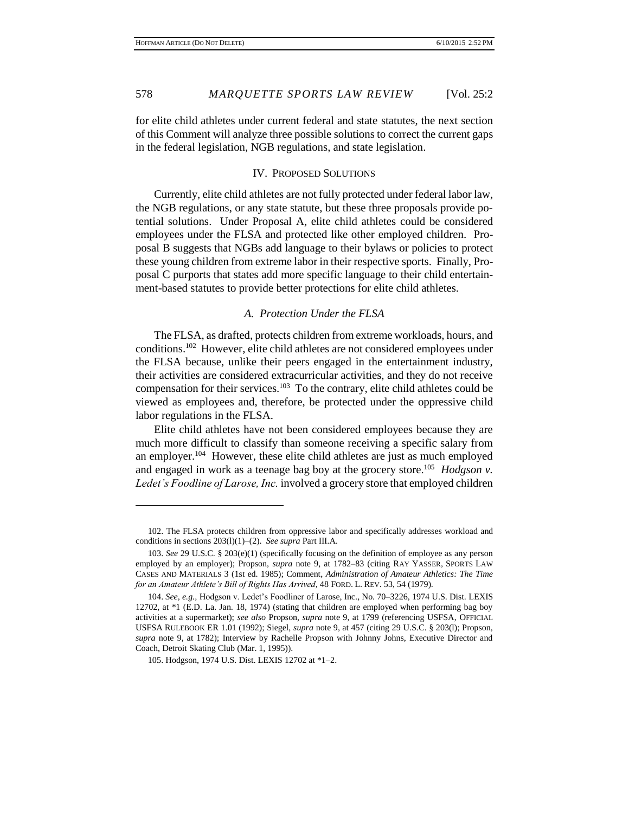for elite child athletes under current federal and state statutes, the next section of this Comment will analyze three possible solutions to correct the current gaps in the federal legislation, NGB regulations, and state legislation.

#### IV. PROPOSED SOLUTIONS

Currently, elite child athletes are not fully protected under federal labor law, the NGB regulations, or any state statute, but these three proposals provide potential solutions. Under Proposal A, elite child athletes could be considered employees under the FLSA and protected like other employed children. Proposal B suggests that NGBs add language to their bylaws or policies to protect these young children from extreme labor in their respective sports. Finally, Proposal C purports that states add more specific language to their child entertainment-based statutes to provide better protections for elite child athletes.

# *A. Protection Under the FLSA*

The FLSA, as drafted, protects children from extreme workloads, hours, and conditions.<sup>102</sup> However, elite child athletes are not considered employees under the FLSA because, unlike their peers engaged in the entertainment industry, their activities are considered extracurricular activities, and they do not receive compensation for their services. 103 To the contrary, elite child athletes could be viewed as employees and, therefore, be protected under the oppressive child labor regulations in the FLSA.

Elite child athletes have not been considered employees because they are much more difficult to classify than someone receiving a specific salary from an employer.<sup>104</sup> However, these elite child athletes are just as much employed and engaged in work as a teenage bag boy at the grocery store.<sup>105</sup> *Hodgson v*. *Ledet's Foodline of Larose, Inc.* involved a grocery store that employed children

<sup>102.</sup> The FLSA protects children from oppressive labor and specifically addresses workload and conditions in sections 203(l)(1)–(2). *See supra* Part III.A.

<sup>103.</sup> *See* 29 U.S.C. § 203(e)(1) (specifically focusing on the definition of employee as any person employed by an employer); Propson, *supra* note 9, at 1782–83 (citing RAY YASSER, SPORTS LAW CASES AND MATERIALS 3 (1st ed. 1985); Comment, *Administration of Amateur Athletics: The Time for an Amateur Athlete's Bill of Rights Has Arrived*, 48 FORD. L. REV. 53, 54 (1979).

<sup>104.</sup> *See, e.g.,* Hodgson v. Ledet's Foodliner of Larose, Inc., No. 70–3226, 1974 U.S. Dist. LEXIS 12702, at \*1 (E.D. La. Jan. 18, 1974) (stating that children are employed when performing bag boy activities at a supermarket); *see also* Propson, *supra* note 9, at 1799 (referencing USFSA, OFFICIAL USFSA RULEBOOK ER 1.01 (1992); Siegel, *supra* note 9, at 457 (citing 29 U.S.C. § 203(l); Propson, *supra* note 9, at 1782); Interview by Rachelle Propson with Johnny Johns, Executive Director and Coach, Detroit Skating Club (Mar. 1, 1995)).

<sup>105.</sup> Hodgson, 1974 U.S. Dist. LEXIS 12702 at \*1–2.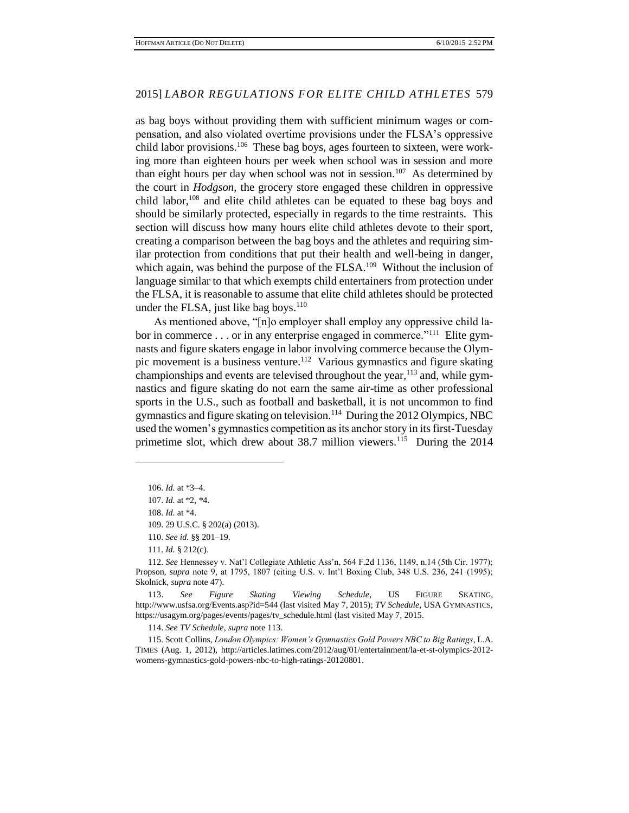as bag boys without providing them with sufficient minimum wages or compensation, and also violated overtime provisions under the FLSA's oppressive child labor provisions.<sup>106</sup> These bag boys, ages fourteen to sixteen, were working more than eighteen hours per week when school was in session and more than eight hours per day when school was not in session.<sup>107</sup> As determined by the court in *Hodgson*, the grocery store engaged these children in oppressive child labor, $108$  and elite child athletes can be equated to these bag boys and should be similarly protected, especially in regards to the time restraints. This section will discuss how many hours elite child athletes devote to their sport, creating a comparison between the bag boys and the athletes and requiring similar protection from conditions that put their health and well-being in danger, which again, was behind the purpose of the  $FLSA$ <sup>109</sup> Without the inclusion of language similar to that which exempts child entertainers from protection under the FLSA, it is reasonable to assume that elite child athletes should be protected under the FLSA, just like bag boys.<sup>110</sup>

As mentioned above, "[n]o employer shall employ any oppressive child labor in commerce . . . or in any enterprise engaged in commerce."<sup>111</sup> Elite gymnasts and figure skaters engage in labor involving commerce because the Olympic movement is a business venture.<sup>112</sup> Various gymnastics and figure skating championships and events are televised throughout the year,  $^{113}$  and, while gymnastics and figure skating do not earn the same air-time as other professional sports in the U.S., such as football and basketball, it is not uncommon to find gymnastics and figure skating on television.<sup>114</sup> During the 2012 Olympics, NBC used the women's gymnastics competition as its anchor story in its first-Tuesday primetime slot, which drew about 38.7 million viewers.<sup>115</sup> During the 2014

 $\overline{a}$ 

110. *See id.* §§ 201–19.

111. *Id.* § 212(c).

112. *See* Hennessey v. Nat'l Collegiate Athletic Ass'n, 564 F.2d 1136, 1149, n.14 (5th Cir. 1977); Propson, *supra* note 9, at 1795, 1807 (citing U.S. v. Int'l Boxing Club, 348 U.S. 236, 241 (1995); Skolnick, *supra* note 47).

113. *See Figure Skating Viewing Schedule*, US FIGURE SKATING, http://www.usfsa.org/Events.asp?id=544 (last visited May 7, 2015); *TV Schedule*, USA GYMNASTICS, https://usagym.org/pages/events/pages/tv\_schedule.html (last visited May 7, 2015.

114. *See TV Schedule*, *supra* note 113.

115. Scott Collins, *London Olympics: Women's Gymnastics Gold Powers NBC to Big Ratings*, L.A. TIMES (Aug. 1, 2012), http://articles.latimes.com/2012/aug/01/entertainment/la-et-st-olympics-2012 womens-gymnastics-gold-powers-nbc-to-high-ratings-20120801.

<sup>106.</sup> *Id.* at \*3–4*.*

<sup>107.</sup> *Id.* at \*2, \*4.

<sup>108.</sup> *Id.* at \*4.

<sup>109.</sup> 29 U.S.C. § 202(a) (2013).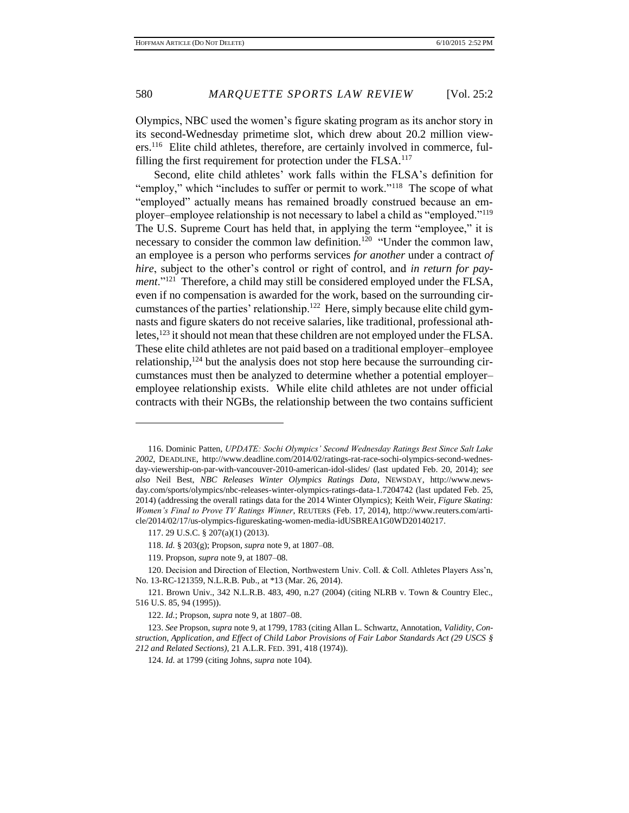Olympics, NBC used the women's figure skating program as its anchor story in its second-Wednesday primetime slot, which drew about 20.2 million viewers.<sup>116</sup> Elite child athletes, therefore, are certainly involved in commerce, fulfilling the first requirement for protection under the FLSA.<sup>117</sup>

Second, elite child athletes' work falls within the FLSA's definition for "employ," which "includes to suffer or permit to work."<sup>118</sup> The scope of what "employed" actually means has remained broadly construed because an employer–employee relationship is not necessary to label a child as "employed."<sup>119</sup> The U.S. Supreme Court has held that, in applying the term "employee," it is necessary to consider the common law definition.<sup>120</sup> "Under the common law, an employee is a person who performs services *for another* under a contract *of hire*, subject to the other's control or right of control, and *in return for pay*ment."<sup>121</sup> Therefore, a child may still be considered employed under the FLSA, even if no compensation is awarded for the work, based on the surrounding circumstances of the parties' relationship.<sup>122</sup> Here, simply because elite child gymnasts and figure skaters do not receive salaries, like traditional, professional athletes,<sup>123</sup> it should not mean that these children are not employed under the FLSA. These elite child athletes are not paid based on a traditional employer–employee relationship, $124$  but the analysis does not stop here because the surrounding circumstances must then be analyzed to determine whether a potential employer– employee relationship exists. While elite child athletes are not under official contracts with their NGBs, the relationship between the two contains sufficient

<sup>116.</sup> Dominic Patten, *UPDATE: Sochi Olympics' Second Wednesday Ratings Best Since Salt Lake 2002*, DEADLINE, http://www.deadline.com/2014/02/ratings-rat-race-sochi-olympics-second-wednesday-viewership-on-par-with-vancouver-2010-american-idol-slides/ (last updated Feb. 20, 2014); *see also* Neil Best, *NBC Releases Winter Olympics Ratings Data*, NEWSDAY, http://www.newsday.com/sports/olympics/nbc-releases-winter-olympics-ratings-data-1.7204742 (last updated Feb. 25, 2014) (addressing the overall ratings data for the 2014 Winter Olympics); Keith Weir, *Figure Skating: Women's Final to Prove TV Ratings Winner*, REUTERS (Feb. 17, 2014), http://www.reuters.com/article/2014/02/17/us-olympics-figureskating-women-media-idUSBREA1G0WD20140217.

<sup>117.</sup> 29 U.S.C. § 207(a)(1) (2013).

<sup>118.</sup> *Id.* § 203(g); Propson, *supra* note 9, at 1807–08.

<sup>119.</sup> Propson, *supra* note 9, at 1807–08.

<sup>120.</sup> Decision and Direction of Election, Northwestern Univ. Coll. & Coll. Athletes Players Ass'n, No. 13-RC-121359, N.L.R.B. Pub., at \*13 (Mar. 26, 2014).

<sup>121.</sup> Brown Univ., 342 N.L.R.B. 483, 490, n.27 (2004) (citing NLRB v. Town & Country Elec., 516 U.S. 85, 94 (1995)).

<sup>122.</sup> *Id.*; Propson, *supra* note 9, at 1807–08.

<sup>123.</sup> *See* Propson, *supra* note 9, at 1799, 1783 (citing Allan L. Schwartz, Annotation, *Validity, Construction, Application, and Effect of Child Labor Provisions of Fair Labor Standards Act (29 USCS § 212 and Related Sections)*, 21 A.L.R. FED. 391, 418 (1974)).

<sup>124.</sup> *Id.* at 1799 (citing Johns, *supra* note 104).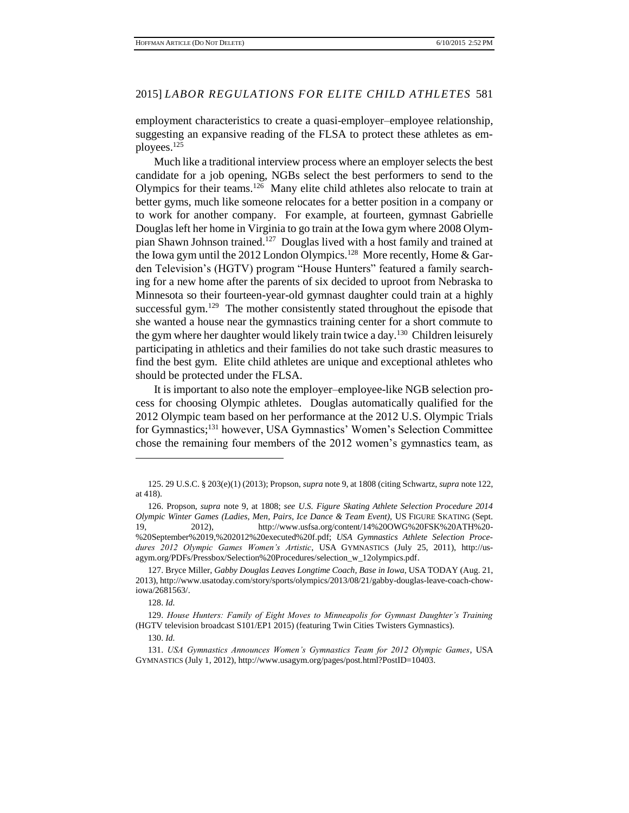employment characteristics to create a quasi-employer–employee relationship, suggesting an expansive reading of the FLSA to protect these athletes as employees. 125

Much like a traditional interview process where an employer selects the best candidate for a job opening, NGBs select the best performers to send to the Olympics for their teams.<sup>126</sup> Many elite child athletes also relocate to train at better gyms, much like someone relocates for a better position in a company or to work for another company. For example, at fourteen, gymnast Gabrielle Douglas left her home in Virginia to go train at the Iowa gym where 2008 Olympian Shawn Johnson trained.<sup>127</sup> Douglas lived with a host family and trained at the Iowa gym until the 2012 London Olympics.<sup>128</sup> More recently, Home & Garden Television's (HGTV) program "House Hunters" featured a family searching for a new home after the parents of six decided to uproot from Nebraska to Minnesota so their fourteen-year-old gymnast daughter could train at a highly successful gym.<sup>129</sup> The mother consistently stated throughout the episode that she wanted a house near the gymnastics training center for a short commute to the gym where her daughter would likely train twice a day.<sup>130</sup> Children leisurely participating in athletics and their families do not take such drastic measures to find the best gym. Elite child athletes are unique and exceptional athletes who should be protected under the FLSA.

It is important to also note the employer–employee-like NGB selection process for choosing Olympic athletes. Douglas automatically qualified for the 2012 Olympic team based on her performance at the 2012 U.S. Olympic Trials for Gymnastics;<sup>131</sup> however, USA Gymnastics' Women's Selection Committee chose the remaining four members of the 2012 women's gymnastics team, as

<sup>125.</sup> 29 U.S.C. § 203(e)(1) (2013); Propson, *supra* note 9, at 1808 (citing Schwartz, *supra* note 122, at 418).

<sup>126.</sup> Propson, *supra* note 9, at 1808; *see U.S. Figure Skating Athlete Selection Procedure 2014 Olympic Winter Games (Ladies, Men, Pairs, Ice Dance & Team Event),* US FIGURE SKATING (Sept. 19, 2012), http://www.usfsa.org/content/14%20OWG%20FSK%20ATH%20- %20September%2019,%202012%20executed%20f.pdf; *USA Gymnastics Athlete Selection Procedures 2012 Olympic Games Women's Artistic*, USA GYMNASTICS (July 25, 2011), http://usagym.org/PDFs/Pressbox/Selection%20Procedures/selection\_w\_12olympics.pdf.

<sup>127.</sup> Bryce Miller, *Gabby Douglas Leaves Longtime Coach, Base in Iowa*, USA TODAY (Aug. 21, 2013), http://www.usatoday.com/story/sports/olympics/2013/08/21/gabby-douglas-leave-coach-chowiowa/2681563/.

<sup>128.</sup> *Id.*

<sup>129.</sup> *House Hunters: Family of Eight Moves to Minneapolis for Gymnast Daughter's Training* (HGTV television broadcast S101/EP1 2015) (featuring Twin Cities Twisters Gymnastics).

<sup>130.</sup> *Id.* 

<sup>131.</sup> *USA Gymnastics Announces Women's Gymnastics Team for 2012 Olympic Games*, USA GYMNASTICS (July 1, 2012), http://www.usagym.org/pages/post.html?PostID=10403.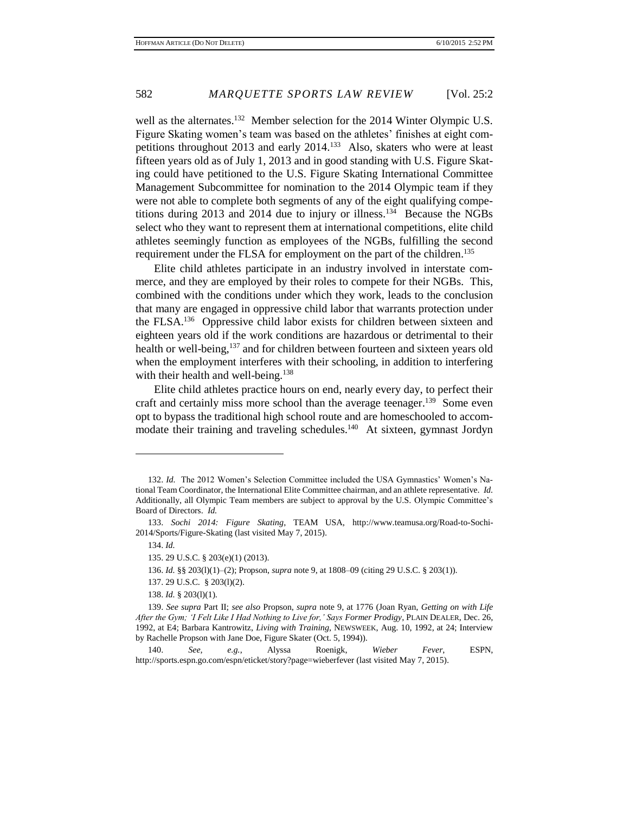well as the alternates.<sup>132</sup> Member selection for the 2014 Winter Olympic U.S. Figure Skating women's team was based on the athletes' finishes at eight competitions throughout 2013 and early 2014.<sup>133</sup> Also, skaters who were at least fifteen years old as of July 1, 2013 and in good standing with U.S. Figure Skating could have petitioned to the U.S. Figure Skating International Committee Management Subcommittee for nomination to the 2014 Olympic team if they were not able to complete both segments of any of the eight qualifying competitions during 2013 and 2014 due to injury or illness.<sup>134</sup> Because the NGBs select who they want to represent them at international competitions, elite child athletes seemingly function as employees of the NGBs, fulfilling the second requirement under the FLSA for employment on the part of the children.<sup>135</sup>

Elite child athletes participate in an industry involved in interstate commerce, and they are employed by their roles to compete for their NGBs. This, combined with the conditions under which they work, leads to the conclusion that many are engaged in oppressive child labor that warrants protection under the FLSA.<sup>136</sup> Oppressive child labor exists for children between sixteen and eighteen years old if the work conditions are hazardous or detrimental to their health or well-being,<sup>137</sup> and for children between fourteen and sixteen years old when the employment interferes with their schooling, in addition to interfering with their health and well-being.<sup>138</sup>

Elite child athletes practice hours on end, nearly every day, to perfect their craft and certainly miss more school than the average teenager.<sup>139</sup> Some even opt to bypass the traditional high school route and are homeschooled to accommodate their training and traveling schedules.<sup>140</sup> At sixteen, gymnast Jordyn

<sup>132.</sup> *Id.* The 2012 Women's Selection Committee included the USA Gymnastics' Women's National Team Coordinator, the International Elite Committee chairman, and an athlete representative. *Id.* Additionally, all Olympic Team members are subject to approval by the U.S. Olympic Committee's Board of Directors. *Id.*

<sup>133.</sup> *Sochi 2014: Figure Skating*, TEAM USA, http://www.teamusa.org/Road-to-Sochi-2014/Sports/Figure-Skating (last visited May 7, 2015).

<sup>134.</sup> *Id.*

<sup>135.</sup> 29 U.S.C. § 203(e)(1) (2013).

<sup>136.</sup> *Id.* §§ 203(l)(1)–(2); Propson, *supra* note 9, at 1808–09 (citing 29 U.S.C. § 203(1)).

<sup>137.</sup> 29 U.S.C. § 203(l)(2).

<sup>138.</sup> *Id.* § 203(l)(1).

<sup>139.</sup> *See supra* Part II; *see also* Propson, *supra* note 9, at 1776 (Joan Ryan, *Getting on with Life After the Gym; 'I Felt Like I Had Nothing to Live for,' Says Former Prodigy*, PLAIN DEALER, Dec. 26, 1992, at E4; Barbara Kantrowitz, *Living with Training*, NEWSWEEK, Aug. 10, 1992, at 24; Interview by Rachelle Propson with Jane Doe, Figure Skater (Oct. 5, 1994)).

<sup>140.</sup> *See, e.g.*, Alyssa Roenigk, *Wieber Fever*, ESPN, http://sports.espn.go.com/espn/eticket/story?page=wieberfever (last visited May 7, 2015).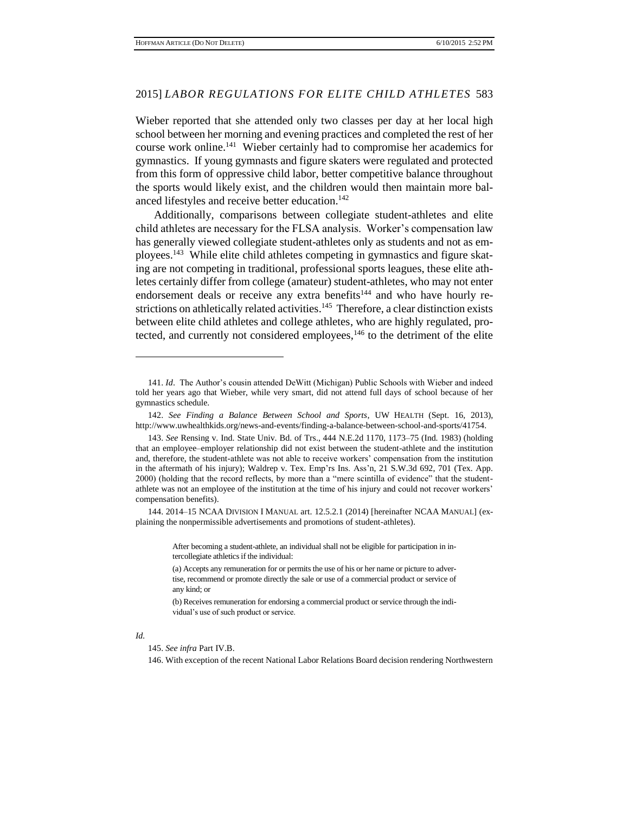Wieber reported that she attended only two classes per day at her local high school between her morning and evening practices and completed the rest of her course work online.<sup>141</sup> Wieber certainly had to compromise her academics for gymnastics. If young gymnasts and figure skaters were regulated and protected from this form of oppressive child labor, better competitive balance throughout the sports would likely exist, and the children would then maintain more balanced lifestyles and receive better education. 142

Additionally, comparisons between collegiate student-athletes and elite child athletes are necessary for the FLSA analysis. Worker's compensation law has generally viewed collegiate student-athletes only as students and not as employees.<sup>143</sup> While elite child athletes competing in gymnastics and figure skating are not competing in traditional, professional sports leagues, these elite athletes certainly differ from college (amateur) student-athletes, who may not enter endorsement deals or receive any extra benefits<sup>144</sup> and who have hourly restrictions on athletically related activities.<sup>145</sup> Therefore, a clear distinction exists between elite child athletes and college athletes, who are highly regulated, protected, and currently not considered employees,  $146$  to the detriment of the elite

144. 2014–15 NCAA DIVISION I MANUAL art. 12.5.2.1 (2014) [hereinafter NCAA MANUAL] (explaining the nonpermissible advertisements and promotions of student-athletes).

> After becoming a student-athlete, an individual shall not be eligible for participation in intercollegiate athletics if the individual:

#### *Id.*

 $\overline{a}$ 

146. With exception of the recent National Labor Relations Board decision rendering Northwestern

<sup>141.</sup> *Id*. The Author's cousin attended DeWitt (Michigan) Public Schools with Wieber and indeed told her years ago that Wieber, while very smart, did not attend full days of school because of her gymnastics schedule.

<sup>142.</sup> *See Finding a Balance Between School and Sports*, UW HEALTH (Sept. 16, 2013), http://www.uwhealthkids.org/news-and-events/finding-a-balance-between-school-and-sports/41754.

<sup>143.</sup> *See* Rensing v. Ind. State Univ. Bd. of Trs., 444 N.E.2d 1170, 1173–75 (Ind. 1983) (holding that an employee–employer relationship did not exist between the student-athlete and the institution and, therefore, the student-athlete was not able to receive workers' compensation from the institution in the aftermath of his injury); Waldrep v. Tex. Emp'rs Ins. Ass'n, 21 S.W.3d 692, 701 (Tex. App. 2000) (holding that the record reflects, by more than a "mere scintilla of evidence" that the studentathlete was not an employee of the institution at the time of his injury and could not recover workers' compensation benefits).

<sup>(</sup>a) Accepts any remuneration for or permits the use of his or her name or picture to advertise, recommend or promote directly the sale or use of a commercial product or service of any kind; or

<sup>(</sup>b) Receives remuneration for endorsing a commercial product or service through the individual's use of such product or service.

<sup>145.</sup> *See infra* Part IV.B.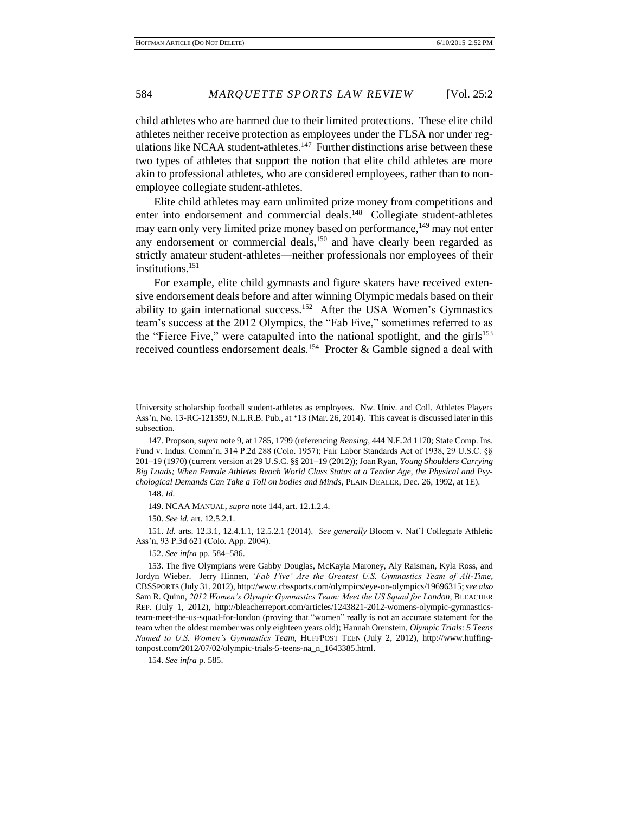child athletes who are harmed due to their limited protections. These elite child athletes neither receive protection as employees under the FLSA nor under regulations like NCAA student-athletes. $147$  Further distinctions arise between these two types of athletes that support the notion that elite child athletes are more akin to professional athletes, who are considered employees, rather than to nonemployee collegiate student-athletes.

Elite child athletes may earn unlimited prize money from competitions and enter into endorsement and commercial deals.<sup>148</sup> Collegiate student-athletes may earn only very limited prize money based on performance,<sup>149</sup> may not enter any endorsement or commercial deals, $150$  and have clearly been regarded as strictly amateur student-athletes—neither professionals nor employees of their institutions.<sup>151</sup>

For example, elite child gymnasts and figure skaters have received extensive endorsement deals before and after winning Olympic medals based on their ability to gain international success.<sup>152</sup> After the USA Women's Gymnastics team's success at the 2012 Olympics, the "Fab Five," sometimes referred to as the "Fierce Five," were catapulted into the national spotlight, and the girls $153$ received countless endorsement deals.<sup>154</sup> Procter & Gamble signed a deal with

 $\overline{a}$ 

151. *Id.* arts. 12.3.1, 12.4.1.1, 12.5.2.1 (2014). *See generally* Bloom v. Nat'l Collegiate Athletic Ass'n, 93 P.3d 621 (Colo. App. 2004).

152. *See infra* pp. 584–586.

University scholarship football student-athletes as employees. Nw. Univ. and Coll. Athletes Players Ass'n, No. 13-RC-121359, N.L.R.B. Pub., at \*13 (Mar. 26, 2014). This caveat is discussed later in this subsection.

<sup>147.</sup> Propson, *supra* note 9, at 1785, 1799 (referencing *Rensing*, 444 N.E.2d 1170; State Comp. Ins. Fund v. Indus. Comm'n, 314 P.2d 288 (Colo. 1957); Fair Labor Standards Act of 1938, 29 U.S.C. §§ 201–19 (1970) (current version at 29 U.S.C. §§ 201–19 (2012)); Joan Ryan, *Young Shoulders Carrying Big Loads; When Female Athletes Reach World Class Status at a Tender Age, the Physical and Psychological Demands Can Take a Toll on bodies and Minds*, PLAIN DEALER, Dec. 26, 1992, at 1E).

<sup>148.</sup> *Id.*

<sup>149.</sup> NCAA MANUAL, *supra* note 144, art. 12.1.2.4.

<sup>150.</sup> *See id.* art. 12.5.2.1.

<sup>153.</sup> The five Olympians were Gabby Douglas, McKayla Maroney, Aly Raisman, Kyla Ross, and Jordyn Wieber. Jerry Hinnen, *'Fab Five' Are the Greatest U.S. Gymnastics Team of All-Time,*  CBSSPORTS (July 31, 2012), http://www.cbssports.com/olympics/eye-on-olympics/19696315; *see also*  Sam R. Quinn, *2012 Women's Olympic Gymnastics Team: Meet the US Squad for London*, BLEACHER REP. (July 1, 2012), http://bleacherreport.com/articles/1243821-2012-womens-olympic-gymnasticsteam-meet-the-us-squad-for-london (proving that "women" really is not an accurate statement for the team when the oldest member was only eighteen years old); Hannah Orenstein, *Olympic Trials: 5 Teens Named to U.S. Women's Gymnastics Team*, HUFFPOST TEEN (July 2, 2012), http://www.huffingtonpost.com/2012/07/02/olympic-trials-5-teens-na\_n\_1643385.html.

<sup>154.</sup> *See infra* p. 585.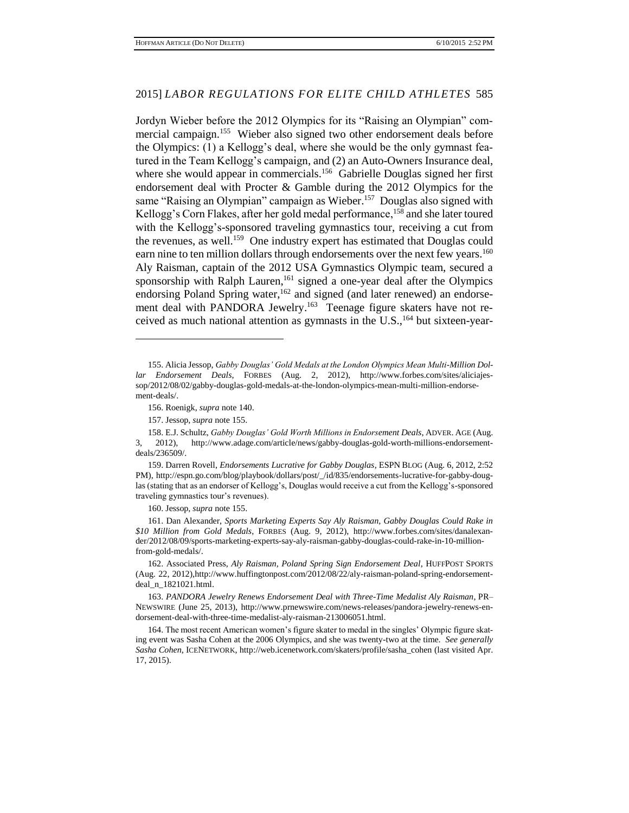Jordyn Wieber before the 2012 Olympics for its "Raising an Olympian" commercial campaign.<sup>155</sup> Wieber also signed two other endorsement deals before the Olympics: (1) a Kellogg's deal, where she would be the only gymnast featured in the Team Kellogg's campaign, and (2) an Auto-Owners Insurance deal, where she would appear in commercials.<sup>156</sup> Gabrielle Douglas signed her first endorsement deal with Procter & Gamble during the 2012 Olympics for the same "Raising an Olympian" campaign as Wieber.<sup>157</sup> Douglas also signed with Kellogg's Corn Flakes, after her gold medal performance,<sup>158</sup> and she later toured with the Kellogg's-sponsored traveling gymnastics tour, receiving a cut from the revenues, as well.<sup>159</sup> One industry expert has estimated that Douglas could earn nine to ten million dollars through endorsements over the next few years.<sup>160</sup> Aly Raisman, captain of the 2012 USA Gymnastics Olympic team, secured a sponsorship with Ralph Lauren,<sup>161</sup> signed a one-year deal after the Olympics endorsing Poland Spring water,<sup>162</sup> and signed (and later renewed) an endorsement deal with PANDORA Jewelry.<sup>163</sup> Teenage figure skaters have not received as much national attention as gymnasts in the U.S., <sup>164</sup> but sixteen-year-

 $\overline{a}$ 

159. Darren Rovell, *Endorsements Lucrative for Gabby Douglas*, ESPN BLOG (Aug. 6, 2012, 2:52 PM), http://espn.go.com/blog/playbook/dollars/post/\_/id/835/endorsements-lucrative-for-gabby-douglas (stating that as an endorser of Kellogg's, Douglas would receive a cut from the Kellogg's-sponsored traveling gymnastics tour's revenues).

160. Jessop, *supra* note 155.

161. Dan Alexander, *Sports Marketing Experts Say Aly Raisman, Gabby Douglas Could Rake in \$10 Million from Gold Medals*, FORBES (Aug. 9, 2012), http://www.forbes.com/sites/danalexander/2012/08/09/sports-marketing-experts-say-aly-raisman-gabby-douglas-could-rake-in-10-millionfrom-gold-medals/.

162. Associated Press, *Aly Raisman, Poland Spring Sign Endorsement Deal*, HUFFPOST SPORTS (Aug. 22, 2012),http://www.huffingtonpost.com/2012/08/22/aly-raisman-poland-spring-endorsementdeal\_n\_1821021.html.

163. *PANDORA Jewelry Renews Endorsement Deal with Three-Time Medalist Aly Raisman*, PR– NEWSWIRE (June 25, 2013), http://www.prnewswire.com/news-releases/pandora-jewelry-renews-endorsement-deal-with-three-time-medalist-aly-raisman-213006051.html.

164. The most recent American women's figure skater to medal in the singles' Olympic figure skating event was Sasha Cohen at the 2006 Olympics, and she was twenty-two at the time. *See generally Sasha Cohen*, ICENETWORK, http://web.icenetwork.com/skaters/profile/sasha\_cohen (last visited Apr. 17, 2015).

<sup>155.</sup> Alicia Jessop, *Gabby Douglas' Gold Medals at the London Olympics Mean Multi-Million Dollar Endorsement Deals*, FORBES (Aug. 2, 2012), http://www.forbes.com/sites/aliciajessop/2012/08/02/gabby-douglas-gold-medals-at-the-london-olympics-mean-multi-million-endorsement-deals/.

<sup>156.</sup> Roenigk, *supra* note 140.

<sup>157.</sup> Jessop, *supra* note 155.

<sup>158.</sup> E.J. Schultz, *Gabby Douglas' Gold Worth Millions in Endorsement Deals*, ADVER. AGE (Aug. 3, 2012), http://www.adage.com/article/news/gabby-douglas-gold-worth-millions-endorsementdeals/236509/.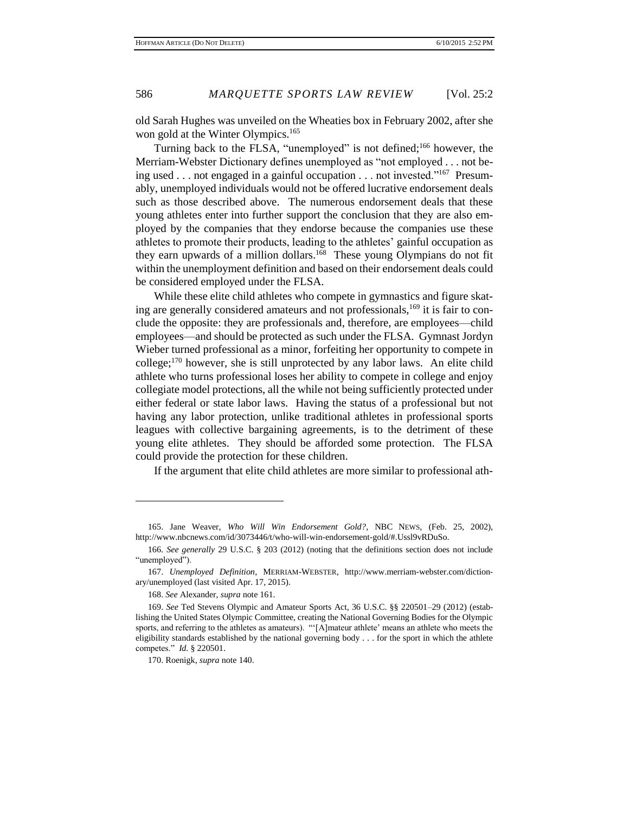old Sarah Hughes was unveiled on the Wheaties box in February 2002, after she won gold at the Winter Olympics.<sup>165</sup>

Turning back to the FLSA, "unemployed" is not defined;<sup>166</sup> however, the Merriam-Webster Dictionary defines unemployed as "not employed . . . not being used . . . not engaged in a gainful occupation . . . not invested."<sup>167</sup> Presumably, unemployed individuals would not be offered lucrative endorsement deals such as those described above. The numerous endorsement deals that these young athletes enter into further support the conclusion that they are also employed by the companies that they endorse because the companies use these athletes to promote their products, leading to the athletes' gainful occupation as they earn upwards of a million dollars.<sup>168</sup> These young Olympians do not fit within the unemployment definition and based on their endorsement deals could be considered employed under the FLSA.

While these elite child athletes who compete in gymnastics and figure skating are generally considered amateurs and not professionals,<sup>169</sup> it is fair to conclude the opposite: they are professionals and, therefore, are employees—child employees—and should be protected as such under the FLSA. Gymnast Jordyn Wieber turned professional as a minor, forfeiting her opportunity to compete in college;<sup>170</sup> however, she is still unprotected by any labor laws. An elite child athlete who turns professional loses her ability to compete in college and enjoy collegiate model protections, all the while not being sufficiently protected under either federal or state labor laws. Having the status of a professional but not having any labor protection, unlike traditional athletes in professional sports leagues with collective bargaining agreements, is to the detriment of these young elite athletes. They should be afforded some protection. The FLSA could provide the protection for these children.

If the argument that elite child athletes are more similar to professional ath-

<sup>165.</sup> Jane Weaver, *Who Will Win Endorsement Gold?*, NBC NEWS, (Feb. 25, 2002), http://www.nbcnews.com/id/3073446/t/who-will-win-endorsement-gold/#.Ussl9vRDuSo.

<sup>166.</sup> *See generally* 29 U.S.C. § 203 (2012) (noting that the definitions section does not include "unemployed").

<sup>167.</sup> *Unemployed Definition*, MERRIAM-WEBSTER, http://www.merriam-webster.com/dictionary/unemployed (last visited Apr. 17, 2015).

<sup>168.</sup> *See* Alexander, *supra* note 161.

<sup>169.</sup> *See* Ted Stevens Olympic and Amateur Sports Act, 36 U.S.C. §§ 220501–29 (2012) (establishing the United States Olympic Committee, creating the National Governing Bodies for the Olympic sports, and referring to the athletes as amateurs). "'[A]mateur athlete' means an athlete who meets the eligibility standards established by the national governing body . . . for the sport in which the athlete competes." *Id.* § 220501.

<sup>170.</sup> Roenigk, *supra* note 140.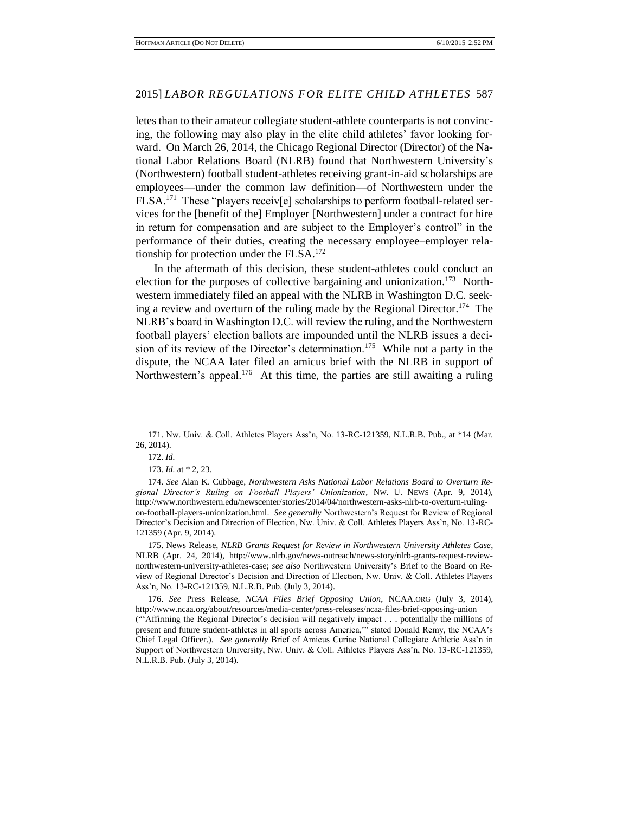letes than to their amateur collegiate student-athlete counterparts is not convincing, the following may also play in the elite child athletes' favor looking forward. On March 26, 2014, the Chicago Regional Director (Director) of the National Labor Relations Board (NLRB) found that Northwestern University's (Northwestern) football student-athletes receiving grant-in-aid scholarships are employees—under the common law definition—of Northwestern under the FLSA.<sup>171</sup> These "players receiv[e] scholarships to perform football-related services for the [benefit of the] Employer [Northwestern] under a contract for hire in return for compensation and are subject to the Employer's control" in the performance of their duties, creating the necessary employee–employer relationship for protection under the FLSA. $^{172}$ 

In the aftermath of this decision, these student-athletes could conduct an election for the purposes of collective bargaining and unionization.<sup>173</sup> Northwestern immediately filed an appeal with the NLRB in Washington D.C. seeking a review and overturn of the ruling made by the Regional Director.<sup>174</sup> The NLRB's board in Washington D.C. will review the ruling, and the Northwestern football players' election ballots are impounded until the NLRB issues a decision of its review of the Director's determination.<sup>175</sup> While not a party in the dispute, the NCAA later filed an amicus brief with the NLRB in support of Northwestern's appeal.<sup>176</sup> At this time, the parties are still awaiting a ruling

<sup>171.</sup> Nw. Univ. & Coll. Athletes Players Ass'n, No. 13-RC-121359, N.L.R.B. Pub., at \*14 (Mar. 26, 2014).

<sup>172.</sup> *Id.*

<sup>173.</sup> *Id.* at \* 2, 23.

<sup>174.</sup> *See* Alan K. Cubbage, *Northwestern Asks National Labor Relations Board to Overturn Regional Director's Ruling on Football Players' Unionization*, NW. U. NEWS (Apr. 9, 2014), http://www.northwestern.edu/newscenter/stories/2014/04/northwestern-asks-nlrb-to-overturn-rulingon-football-players-unionization.html. *See generally* Northwestern's Request for Review of Regional Director's Decision and Direction of Election, Nw. Univ. & Coll. Athletes Players Ass'n, No. 13-RC-121359 (Apr. 9, 2014).

<sup>175.</sup> News Release, *NLRB Grants Request for Review in Northwestern University Athletes Case*, NLRB (Apr. 24, 2014), http://www.nlrb.gov/news-outreach/news-story/nlrb-grants-request-reviewnorthwestern-university-athletes-case; *see also* Northwestern University's Brief to the Board on Review of Regional Director's Decision and Direction of Election, Nw. Univ. & Coll. Athletes Players Ass'n, No. 13-RC-121359, N.L.R.B. Pub. (July 3, 2014).

<sup>176.</sup> *See* Press Release, *NCAA Files Brief Opposing Union*, NCAA.ORG (July 3, 2014), http://www.ncaa.org/about/resources/media-center/press-releases/ncaa-files-brief-opposing-union ("'Affirming the Regional Director's decision will negatively impact . . . potentially the millions of present and future student-athletes in all sports across America,'" stated Donald Remy, the NCAA's Chief Legal Officer.). *See generally* Brief of Amicus Curiae National Collegiate Athletic Ass'n in Support of Northwestern University, Nw. Univ. & Coll. Athletes Players Ass'n, No. 13-RC-121359, N.L.R.B. Pub. (July 3, 2014).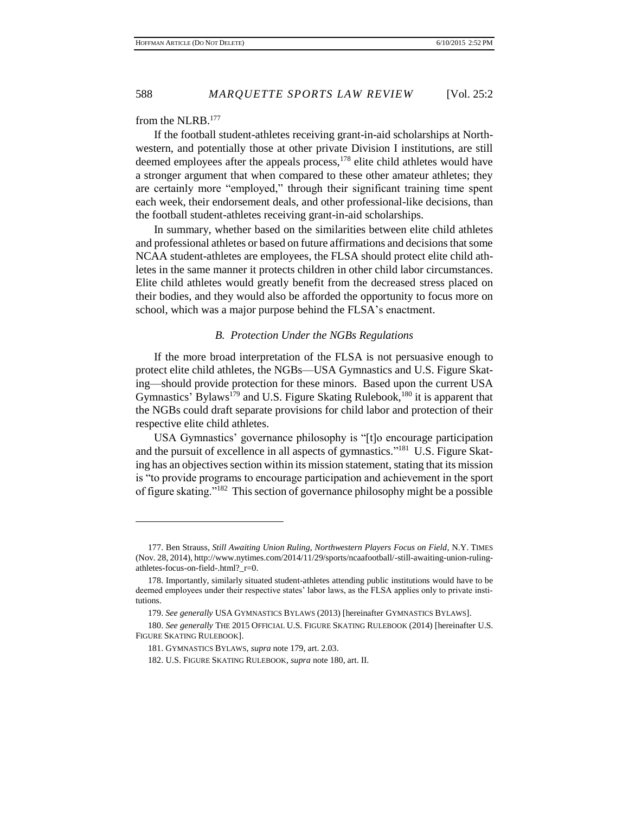from the NLRB.<sup>177</sup>

If the football student-athletes receiving grant-in-aid scholarships at Northwestern, and potentially those at other private Division I institutions, are still deemed employees after the appeals process,<sup>178</sup> elite child athletes would have a stronger argument that when compared to these other amateur athletes; they are certainly more "employed," through their significant training time spent each week, their endorsement deals, and other professional-like decisions, than the football student-athletes receiving grant-in-aid scholarships.

In summary, whether based on the similarities between elite child athletes and professional athletes or based on future affirmations and decisions that some NCAA student-athletes are employees, the FLSA should protect elite child athletes in the same manner it protects children in other child labor circumstances. Elite child athletes would greatly benefit from the decreased stress placed on their bodies, and they would also be afforded the opportunity to focus more on school, which was a major purpose behind the FLSA's enactment.

#### *B. Protection Under the NGBs Regulations*

If the more broad interpretation of the FLSA is not persuasive enough to protect elite child athletes, the NGBs—USA Gymnastics and U.S. Figure Skating—should provide protection for these minors. Based upon the current USA Gymnastics' Bylaws<sup>179</sup> and U.S. Figure Skating Rulebook,<sup>180</sup> it is apparent that the NGBs could draft separate provisions for child labor and protection of their respective elite child athletes.

USA Gymnastics' governance philosophy is "[t]o encourage participation and the pursuit of excellence in all aspects of gymnastics."<sup>181</sup> U.S. Figure Skating has an objectives section within its mission statement, stating that its mission is "to provide programs to encourage participation and achievement in the sport of figure skating."<sup>182</sup> This section of governance philosophy might be a possible

<sup>177.</sup> Ben Strauss, *Still Awaiting Union Ruling, Northwestern Players Focus on Field*, N.Y. TIMES (Nov. 28, 2014), http://www.nytimes.com/2014/11/29/sports/ncaafootball/-still-awaiting-union-rulingathletes-focus-on-field-.html?\_r=0.

<sup>178.</sup> Importantly, similarly situated student-athletes attending public institutions would have to be deemed employees under their respective states' labor laws, as the FLSA applies only to private institutions.

<sup>179.</sup> *See generally* USA GYMNASTICS BYLAWS (2013) [hereinafter GYMNASTICS BYLAWS].

<sup>180.</sup> *See generally* THE 2015 OFFICIAL U.S. FIGURE SKATING RULEBOOK (2014) [hereinafter U.S. FIGURE SKATING RULEBOOK].

<sup>181.</sup> GYMNASTICS BYLAWS, *supra* note 179, art. 2.03.

<sup>182.</sup> U.S. FIGURE SKATING RULEBOOK, *supra* note 180, art. II.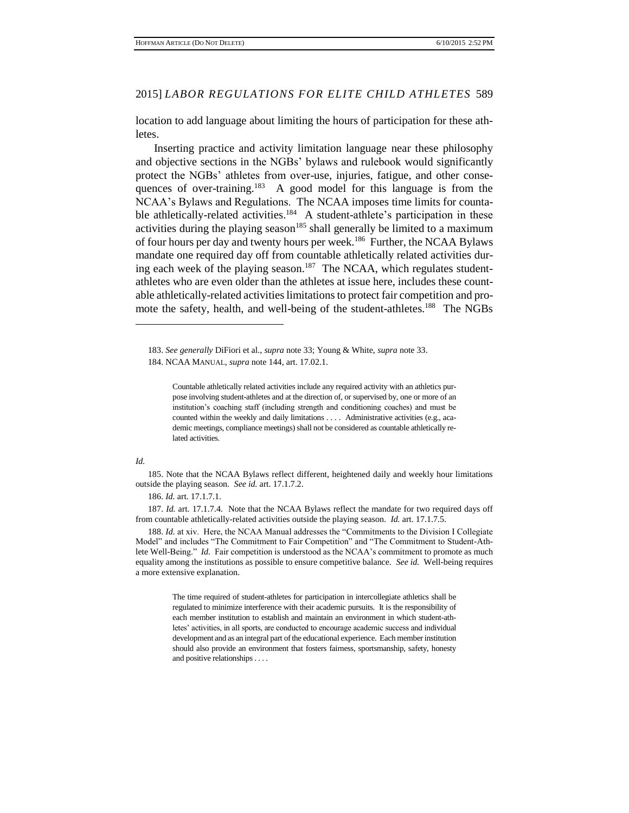location to add language about limiting the hours of participation for these athletes.

Inserting practice and activity limitation language near these philosophy and objective sections in the NGBs' bylaws and rulebook would significantly protect the NGBs' athletes from over-use, injuries, fatigue, and other consequences of over-training.<sup>183</sup> A good model for this language is from the NCAA's Bylaws and Regulations. The NCAA imposes time limits for countable athletically-related activities.<sup>184</sup> A student-athlete's participation in these activities during the playing season<sup>185</sup> shall generally be limited to a maximum of four hours per day and twenty hours per week.<sup>186</sup> Further, the NCAA Bylaws mandate one required day off from countable athletically related activities during each week of the playing season.<sup>187</sup> The NCAA, which regulates studentathletes who are even older than the athletes at issue here, includes these countable athletically-related activities limitations to protect fair competition and promote the safety, health, and well-being of the student-athletes.<sup>188</sup> The NGBs

#### *Id.*

 $\overline{a}$ 

185. Note that the NCAA Bylaws reflect different, heightened daily and weekly hour limitations outside the playing season. *See id.* art. 17.1.7.2.

186. *Id.* art. 17.1.7.1.

187. *Id.* art. 17.1.7.4. Note that the NCAA Bylaws reflect the mandate for two required days off from countable athletically-related activities outside the playing season. *Id.* art. 17.1.7.5.

188. *Id.* at xiv. Here, the NCAA Manual addresses the "Commitments to the Division I Collegiate Model" and includes "The Commitment to Fair Competition" and "The Commitment to Student-Athlete Well-Being." *Id.* Fair competition is understood as the NCAA's commitment to promote as much equality among the institutions as possible to ensure competitive balance. *See id.* Well-being requires a more extensive explanation.

> The time required of student-athletes for participation in intercollegiate athletics shall be regulated to minimize interference with their academic pursuits. It is the responsibility of each member institution to establish and maintain an environment in which student-athletes' activities, in all sports, are conducted to encourage academic success and individual development and as an integral part of the educational experience. Each member institution should also provide an environment that fosters fairness, sportsmanship, safety, honesty and positive relationships . . . .

<sup>183.</sup> *See generally* DiFiori et al., *supra* note 33; Young & White, *supra* note 33. 184. NCAA MANUAL, *supra* note 144, art. 17.02.1.

Countable athletically related activities include any required activity with an athletics purpose involving student-athletes and at the direction of, or supervised by, one or more of an institution's coaching staff (including strength and conditioning coaches) and must be counted within the weekly and daily limitations . . . . Administrative activities (e.g., academic meetings, compliance meetings) shall not be considered as countable athletically related activities.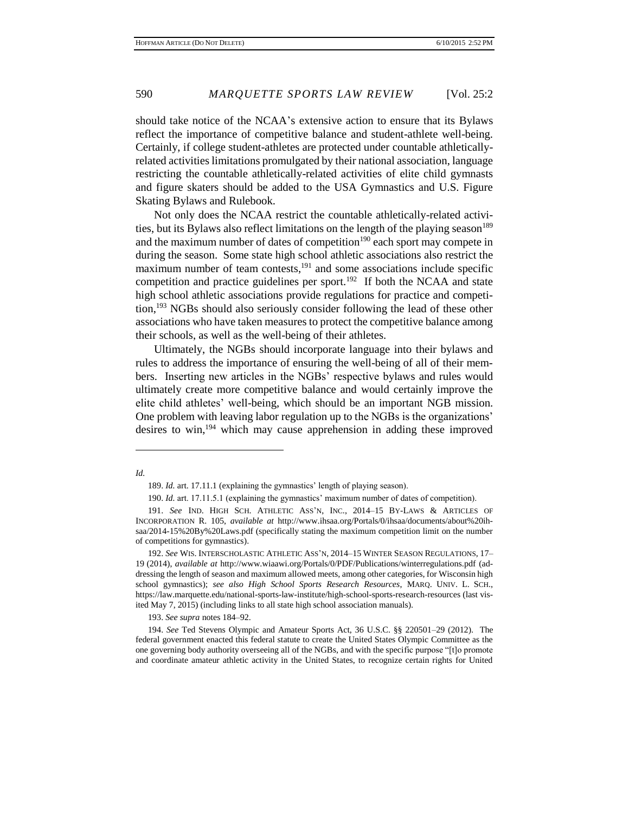should take notice of the NCAA's extensive action to ensure that its Bylaws reflect the importance of competitive balance and student-athlete well-being. Certainly, if college student-athletes are protected under countable athleticallyrelated activities limitations promulgated by their national association, language restricting the countable athletically-related activities of elite child gymnasts and figure skaters should be added to the USA Gymnastics and U.S. Figure Skating Bylaws and Rulebook.

Not only does the NCAA restrict the countable athletically-related activities, but its Bylaws also reflect limitations on the length of the playing season<sup>189</sup> and the maximum number of dates of competition<sup>190</sup> each sport may compete in during the season. Some state high school athletic associations also restrict the maximum number of team contests,<sup>191</sup> and some associations include specific competition and practice guidelines per sport.<sup>192</sup> If both the NCAA and state high school athletic associations provide regulations for practice and competition, <sup>193</sup> NGBs should also seriously consider following the lead of these other associations who have taken measures to protect the competitive balance among their schools, as well as the well-being of their athletes.

Ultimately, the NGBs should incorporate language into their bylaws and rules to address the importance of ensuring the well-being of all of their members. Inserting new articles in the NGBs' respective bylaws and rules would ultimately create more competitive balance and would certainly improve the elite child athletes' well-being, which should be an important NGB mission. One problem with leaving labor regulation up to the NGBs is the organizations' desires to win, <sup>194</sup> which may cause apprehension in adding these improved

*Id.*

 $\overline{a}$ 

193. *See supra* notes 184–92.

<sup>189.</sup> *Id.* art. 17.11.1 (explaining the gymnastics' length of playing season).

<sup>190.</sup> *Id.* art. 17.11.5.1 (explaining the gymnastics' maximum number of dates of competition).

<sup>191.</sup> *See* IND. HIGH SCH. ATHLETIC ASS'N, INC., 2014–15 BY-LAWS & ARTICLES OF INCORPORATION R. 105, *available at* http://www.ihsaa.org/Portals/0/ihsaa/documents/about%20ihsaa/2014-15%20By%20Laws.pdf (specifically stating the maximum competition limit on the number of competitions for gymnastics).

<sup>192.</sup> *See* WIS. INTERSCHOLASTIC ATHLETIC ASS'N, 2014–15 WINTER SEASON REGULATIONS, 17– 19 (2014), *available at* http://www.wiaawi.org/Portals/0/PDF/Publications/winterregulations.pdf (addressing the length of season and maximum allowed meets, among other categories, for Wisconsin high school gymnastics); *see also High School Sports Research Resources*, MARQ. UNIV. L. SCH., https://law.marquette.edu/national-sports-law-institute/high-school-sports-research-resources (last visited May 7, 2015) (including links to all state high school association manuals).

<sup>194.</sup> *See* Ted Stevens Olympic and Amateur Sports Act, 36 U.S.C. §§ 220501–29 (2012). The federal government enacted this federal statute to create the United States Olympic Committee as the one governing body authority overseeing all of the NGBs, and with the specific purpose "[t]o promote and coordinate amateur athletic activity in the United States, to recognize certain rights for United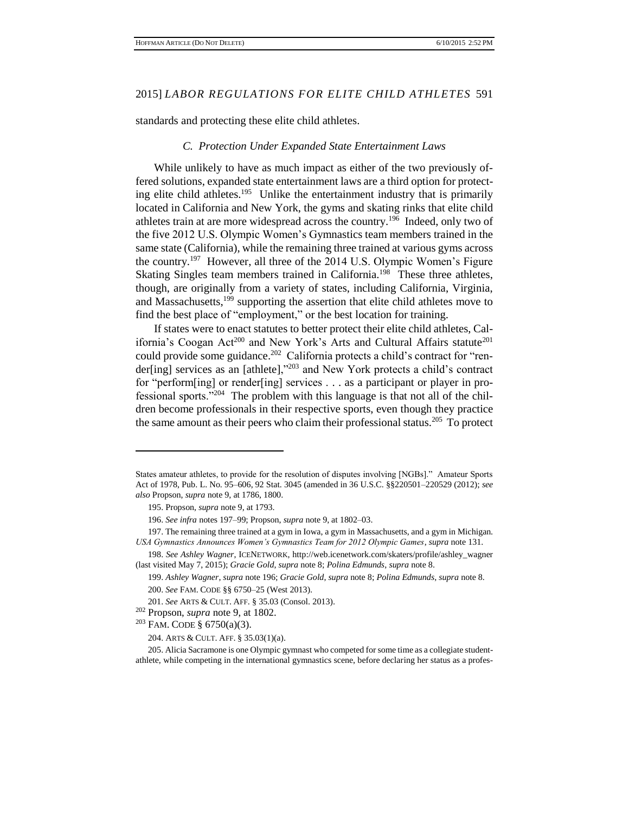standards and protecting these elite child athletes.

#### *C. Protection Under Expanded State Entertainment Laws*

While unlikely to have as much impact as either of the two previously offered solutions, expanded state entertainment laws are a third option for protecting elite child athletes.<sup>195</sup> Unlike the entertainment industry that is primarily located in California and New York, the gyms and skating rinks that elite child athletes train at are more widespread across the country.<sup>196</sup> Indeed, only two of the five 2012 U.S. Olympic Women's Gymnastics team members trained in the same state (California), while the remaining three trained at various gyms across the country.<sup>197</sup> However, all three of the 2014 U.S. Olympic Women's Figure Skating Singles team members trained in California.<sup>198</sup> These three athletes, though, are originally from a variety of states, including California, Virginia, and Massachusetts,<sup>199</sup> supporting the assertion that elite child athletes move to find the best place of "employment," or the best location for training.

If states were to enact statutes to better protect their elite child athletes, California's Coogan Act<sup>200</sup> and New York's Arts and Cultural Affairs statute<sup>201</sup> could provide some guidance.<sup>202</sup> California protects a child's contract for "render[ing] services as an [athlete],"<sup>203</sup> and New York protects a child's contract for "perform[ing] or render[ing] services . . . as a participant or player in professional sports."<sup>204</sup> The problem with this language is that not all of the children become professionals in their respective sports, even though they practice the same amount as their peers who claim their professional status.<sup>205</sup> To protect

States amateur athletes, to provide for the resolution of disputes involving [NGBs]." Amateur Sports Act of 1978, Pub. L. No. 95–606, 92 Stat. 3045 (amended in 36 U.S.C. §§220501–220529 (2012); *see also* Propson, *supra* note 9, at 1786, 1800.

<sup>195.</sup> Propson, *supra* note 9, at 1793.

<sup>196.</sup> *See infra* notes 197–99; Propson, *supra* note 9, at 1802–03.

<sup>197.</sup> The remaining three trained at a gym in Iowa, a gym in Massachusetts, and a gym in Michigan. *USA Gymnastics Announces Women's Gymnastics Team for 2012 Olympic Games*, *supra* note 131.

<sup>198.</sup> *See Ashley Wagner*, ICENETWORK, http://web.icenetwork.com/skaters/profile/ashley\_wagner (last visited May 7, 2015); *Gracie Gold*, *supra* note 8; *Polina Edmunds*, *supra* note 8.

<sup>199.</sup> *Ashley Wagner*, *supra* note 196; *Gracie Gold*, *supra* note 8; *Polina Edmunds*, *supra* note 8. 200. *See* FAM. CODE §§ 6750–25 (West 2013).

<sup>201.</sup> *See* ARTS & CULT. AFF. § 35.03 (Consol. 2013).

<sup>202</sup> Propson, *supra* note 9, at 1802.

 $203$  FAM. CODE § 6750(a)(3).

<sup>204.</sup> ARTS & CULT. AFF. § 35.03(1)(a).

<sup>205.</sup> Alicia Sacramone is one Olympic gymnast who competed for some time as a collegiate studentathlete, while competing in the international gymnastics scene, before declaring her status as a profes-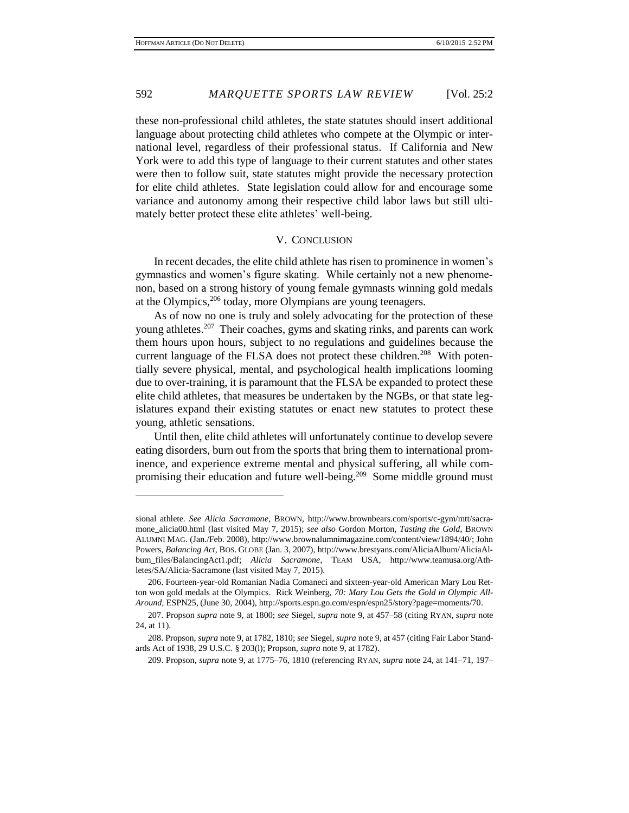these non-professional child athletes, the state statutes should insert additional language about protecting child athletes who compete at the Olympic or international level, regardless of their professional status. If California and New York were to add this type of language to their current statutes and other states were then to follow suit, state statutes might provide the necessary protection for elite child athletes. State legislation could allow for and encourage some variance and autonomy among their respective child labor laws but still ultimately better protect these elite athletes' well-being.

#### V. CONCLUSION

In recent decades, the elite child athlete has risen to prominence in women's gymnastics and women's figure skating. While certainly not a new phenomenon, based on a strong history of young female gymnasts winning gold medals at the Olympics,<sup>206</sup> today, more Olympians are young teenagers.

As of now no one is truly and solely advocating for the protection of these young athletes.<sup>207</sup> Their coaches, gyms and skating rinks, and parents can work them hours upon hours, subject to no regulations and guidelines because the current language of the FLSA does not protect these children.<sup>208</sup> With potentially severe physical, mental, and psychological health implications looming due to over-training, it is paramount that the FLSA be expanded to protect these elite child athletes, that measures be undertaken by the NGBs, or that state legislatures expand their existing statutes or enact new statutes to protect these young, athletic sensations.

Until then, elite child athletes will unfortunately continue to develop severe eating disorders, burn out from the sports that bring them to international prominence, and experience extreme mental and physical suffering, all while compromising their education and future well-being.<sup>209</sup> Some middle ground must

sional athlete. *See Alicia Sacramone*, BROWN, http://www.brownbears.com/sports/c-gym/mtt/sacramone\_alicia00.html (last visited May 7, 2015); *see also* Gordon Morton, *Tasting the Gold*, BROWN ALUMNI MAG. (Jan./Feb. 2008), http://www.brownalumnimagazine.com/content/view/1894/40/; John Powers, *Balancing Act*, BOS. GLOBE (Jan. 3, 2007), http://www.brestyans.com/AliciaAlbum/AliciaAlbum\_files/BalancingAct1.pdf; *Alicia Sacramone*, TEAM USA, http://www.teamusa.org/Athletes/SA/Alicia-Sacramone (last visited May 7, 2015).

<sup>206.</sup> Fourteen-year-old Romanian Nadia Comaneci and sixteen-year-old American Mary Lou Retton won gold medals at the Olympics. Rick Weinberg, *70: Mary Lou Gets the Gold in Olympic All-Around*, ESPN25, (June 30, 2004), http://sports.espn.go.com/espn/espn25/story?page=moments/70.

<sup>207.</sup> Propson *supra* note 9, at 1800; *see* Siegel, *supra* note 9, at 457–58 (citing RYAN, *supra* note 24, at 11).

<sup>208.</sup> Propson, *supra* note 9, at 1782, 1810; *see* Siegel, *supra* note 9, at 457 (citing Fair Labor Standards Act of 1938, 29 U.S.C. § 203(l); Propson, *supra* note 9, at 1782).

<sup>209.</sup> Propson, *supra* note 9, at 1775–76, 1810 (referencing RYAN, *supra* note 24, at 141–71, 197–